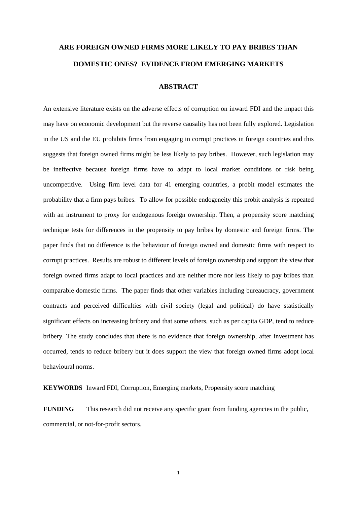# **ARE FOREIGN OWNED FIRMS MORE LIKELY TO PAY BRIBES THAN DOMESTIC ONES? EVIDENCE FROM EMERGING MARKETS**

## **ABSTRACT**

An extensive literature exists on the adverse effects of corruption on inward FDI and the impact this may have on economic development but the reverse causality has not been fully explored. Legislation in the US and the EU prohibits firms from engaging in corrupt practices in foreign countries and this suggests that foreign owned firms might be less likely to pay bribes. However, such legislation may be ineffective because foreign firms have to adapt to local market conditions or risk being uncompetitive. Using firm level data for 41 emerging countries, a probit model estimates the probability that a firm pays bribes. To allow for possible endogeneity this probit analysis is repeated with an instrument to proxy for endogenous foreign ownership. Then, a propensity score matching technique tests for differences in the propensity to pay bribes by domestic and foreign firms. The paper finds that no difference is the behaviour of foreign owned and domestic firms with respect to corrupt practices. Results are robust to different levels of foreign ownership and support the view that foreign owned firms adapt to local practices and are neither more nor less likely to pay bribes than comparable domestic firms. The paper finds that other variables including bureaucracy, government contracts and perceived difficulties with civil society (legal and political) do have statistically significant effects on increasing bribery and that some others, such as per capita GDP, tend to reduce bribery. The study concludes that there is no evidence that foreign ownership, after investment has occurred, tends to reduce bribery but it does support the view that foreign owned firms adopt local behavioural norms.

**KEYWORDS** Inward FDI, Corruption, Emerging markets, Propensity score matching

**FUNDING** This research did not receive any specific grant from funding agencies in the public, commercial, or not-for-profit sectors.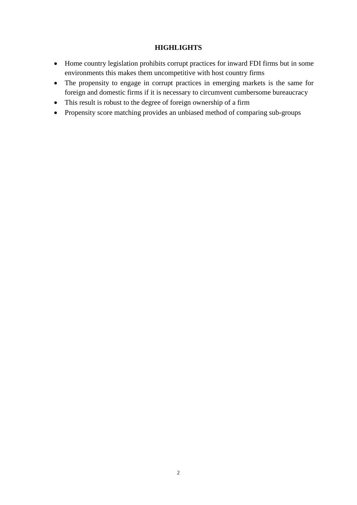# **HIGHLIGHTS**

- Home country legislation prohibits corrupt practices for inward FDI firms but in some environments this makes them uncompetitive with host country firms
- The propensity to engage in corrupt practices in emerging markets is the same for foreign and domestic firms if it is necessary to circumvent cumbersome bureaucracy
- This result is robust to the degree of foreign ownership of a firm
- Propensity score matching provides an unbiased method of comparing sub-groups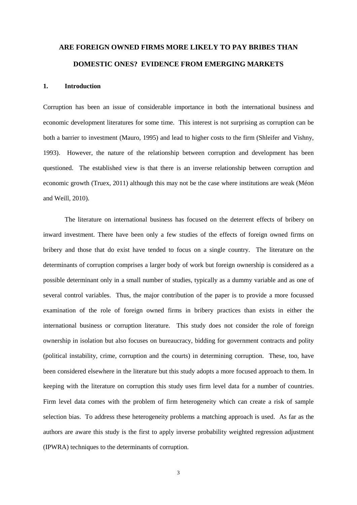# **ARE FOREIGN OWNED FIRMS MORE LIKELY TO PAY BRIBES THAN DOMESTIC ONES? EVIDENCE FROM EMERGING MARKETS**

## **1. Introduction**

Corruption has been an issue of considerable importance in both the international business and economic development literatures for some time. This interest is not surprising as corruption can be both a barrier to investment (Mauro, 1995) and lead to higher costs to the firm (Shleifer and Vishny, 1993). However, the nature of the relationship between corruption and development has been questioned. The established view is that there is an inverse relationship between corruption and economic growth (Truex, 2011) although this may not be the case where institutions are weak (Méon and Weill, 2010).

The literature on international business has focused on the deterrent effects of bribery on inward investment. There have been only a few studies of the effects of foreign owned firms on bribery and those that do exist have tended to focus on a single country. The literature on the determinants of corruption comprises a larger body of work but foreign ownership is considered as a possible determinant only in a small number of studies, typically as a dummy variable and as one of several control variables. Thus, the major contribution of the paper is to provide a more focussed examination of the role of foreign owned firms in bribery practices than exists in either the international business or corruption literature. This study does not consider the role of foreign ownership in isolation but also focuses on bureaucracy, bidding for government contracts and polity (political instability, crime, corruption and the courts) in determining corruption. These, too, have been considered elsewhere in the literature but this study adopts a more focused approach to them. In keeping with the literature on corruption this study uses firm level data for a number of countries. Firm level data comes with the problem of firm heterogeneity which can create a risk of sample selection bias. To address these heterogeneity problems a matching approach is used. As far as the authors are aware this study is the first to apply inverse probability weighted regression adjustment (IPWRA) techniques to the determinants of corruption.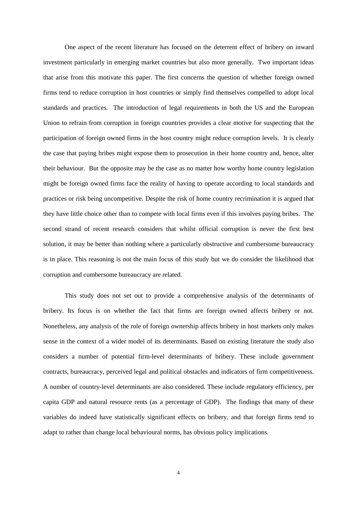One aspect of the recent literature has focused on the deterrent effect of bribery on inward investment particularly in emerging market countries but also more generally. Two important ideas that arise from this motivate this paper. The first concerns the question of whether foreign owned firms tend to reduce corruption in host countries or simply find themselves compelled to adopt local standards and practices. The introduction of legal requirements in both the US and the European Union to refrain from corruption in foreign countries provides a clear motive for suspecting that the participation of foreign owned firms in the host country might reduce corruption levels. It is clearly the case that paying bribes might expose them to prosecution in their home country and, hence, alter their behaviour. But the opposite may be the case as no matter how worthy home country legislation might be foreign owned firms face the reality of having to operate according to local standards and practices or risk being uncompetitive. Despite the risk of home country recrimination it is argued that they have little choice other than to compete with local firms even if this involves paying bribes. The second strand of recent research considers that whilst official corruption is never the first best solution, it may be better than nothing where a particularly obstructive and cumbersome bureaucracy is in place. This reasoning is not the main focus of this study but we do consider the likelihood that corruption and cumbersome bureaucracy are related.

This study does not set out to provide a comprehensive analysis of the determinants of bribery. Its focus is on whether the fact that firms are foreign owned affects bribery or not. Nonetheless, any analysis of the role of foreign ownership affects bribery in host markets only makes sense in the context of a wider model of its determinants. Based on existing literature the study also considers a number of potential firm-level determinants of bribery. These include government contracts, bureaucracy, perceived legal and political obstacles and indicators of firm competitiveness. A number of country-level determinants are also considered. These include regulatory efficiency, per capita GDP and natural resource rents (as a percentage of GDP). The findings that many of these variables do indeed have statistically significant effects on bribery, and that foreign firms tend to adapt to rather than change local behavioural norms, has obvious policy implications.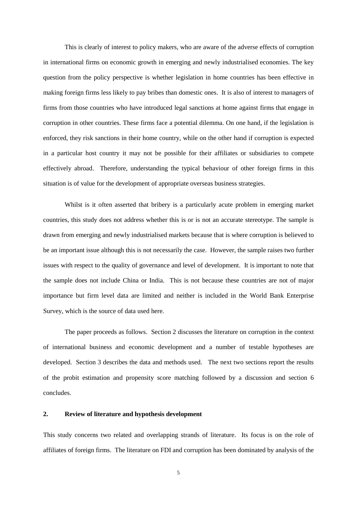This is clearly of interest to policy makers, who are aware of the adverse effects of corruption in international firms on economic growth in emerging and newly industrialised economies. The key question from the policy perspective is whether legislation in home countries has been effective in making foreign firms less likely to pay bribes than domestic ones. It is also of interest to managers of firms from those countries who have introduced legal sanctions at home against firms that engage in corruption in other countries. These firms face a potential dilemma. On one hand, if the legislation is enforced, they risk sanctions in their home country, while on the other hand if corruption is expected in a particular host country it may not be possible for their affiliates or subsidiaries to compete effectively abroad. Therefore, understanding the typical behaviour of other foreign firms in this situation is of value for the development of appropriate overseas business strategies.

Whilst is it often asserted that bribery is a particularly acute problem in emerging market countries, this study does not address whether this is or is not an accurate stereotype. The sample is drawn from emerging and newly industrialised markets because that is where corruption is believed to be an important issue although this is not necessarily the case. However, the sample raises two further issues with respect to the quality of governance and level of development. It is important to note that the sample does not include China or India. This is not because these countries are not of major importance but firm level data are limited and neither is included in the World Bank Enterprise Survey, which is the source of data used here.

The paper proceeds as follows. Section 2 discusses the literature on corruption in the context of international business and economic development and a number of testable hypotheses are developed. Section 3 describes the data and methods used. The next two sections report the results of the probit estimation and propensity score matching followed by a discussion and section 6 concludes.

#### **2. Review of literature and hypothesis development**

This study concerns two related and overlapping strands of literature. Its focus is on the role of affiliates of foreign firms. The literature on FDI and corruption has been dominated by analysis of the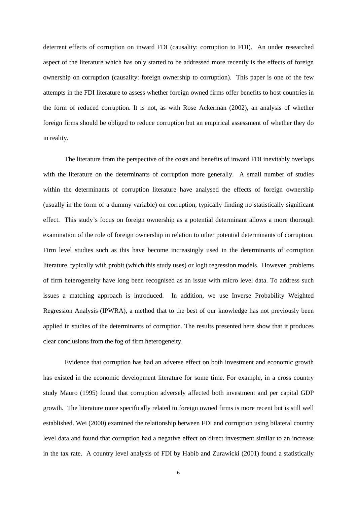deterrent effects of corruption on inward FDI (causality: corruption to FDI). An under researched aspect of the literature which has only started to be addressed more recently is the effects of foreign ownership on corruption (causality: foreign ownership to corruption). This paper is one of the few attempts in the FDI literature to assess whether foreign owned firms offer benefits to host countries in the form of reduced corruption. It is not, as with Rose Ackerman (2002), an analysis of whether foreign firms should be obliged to reduce corruption but an empirical assessment of whether they do in reality.

The literature from the perspective of the costs and benefits of inward FDI inevitably overlaps with the literature on the determinants of corruption more generally. A small number of studies within the determinants of corruption literature have analysed the effects of foreign ownership (usually in the form of a dummy variable) on corruption, typically finding no statistically significant effect. This study's focus on foreign ownership as a potential determinant allows a more thorough examination of the role of foreign ownership in relation to other potential determinants of corruption. Firm level studies such as this have become increasingly used in the determinants of corruption literature, typically with probit (which this study uses) or logit regression models. However, problems of firm heterogeneity have long been recognised as an issue with micro level data. To address such issues a matching approach is introduced. In addition, we use Inverse Probability Weighted Regression Analysis (IPWRA), a method that to the best of our knowledge has not previously been applied in studies of the determinants of corruption. The results presented here show that it produces clear conclusions from the fog of firm heterogeneity.

Evidence that corruption has had an adverse effect on both investment and economic growth has existed in the economic development literature for some time. For example, in a cross country study Mauro (1995) found that corruption adversely affected both investment and per capital GDP growth. The literature more specifically related to foreign owned firms is more recent but is still well established. Wei (2000) examined the relationship between FDI and corruption using bilateral country level data and found that corruption had a negative effect on direct investment similar to an increase in the tax rate. A country level analysis of FDI by Habib and Zurawicki (2001) found a statistically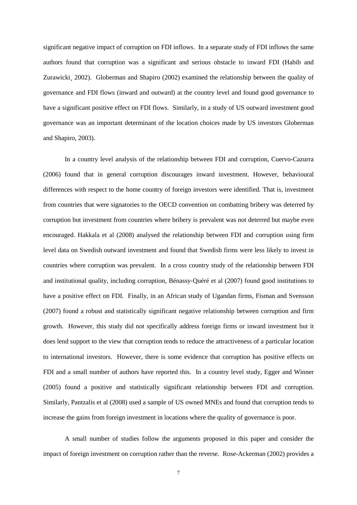significant negative impact of corruption on FDI inflows. In a separate study of FDI inflows the same authors found that corruption was a significant and serious obstacle to inward FDI (Habib and Zurawicki, 2002). Globerman and Shapiro (2002) examined the relationship between the quality of governance and FDI flows (inward and outward) at the country level and found good governance to have a significant positive effect on FDI flows. Similarly, in a study of US outward investment good governance was an important determinant of the location choices made by US investors Globerman and Shapiro, 2003).

In a country level analysis of the relationship between FDI and corruption, Cuervo-Cazurra (2006) found that in general corruption discourages inward investment. However, behavioural differences with respect to the home country of foreign investors were identified. That is, investment from countries that were signatories to the OECD convention on combatting bribery was deterred by corruption but investment from countries where bribery is prevalent was not deterred but maybe even encouraged. Hakkala et al (2008) analysed the relationship between FDI and corruption using firm level data on Swedish outward investment and found that Swedish firms were less likely to invest in countries where corruption was prevalent. In a cross country study of the relationship between FDI and institutional quality, including corruption, Bénassy-Quéré et al (2007) found good institutions to have a positive effect on FDI. Finally, in an African study of Ugandan firms, Fisman and Svensson (2007) found a robust and statistically significant negative relationship between corruption and firm growth. However, this study did not specifically address foreign firms or inward investment but it does lend support to the view that corruption tends to reduce the attractiveness of a particular location to international investors. However, there is some evidence that corruption has positive effects on FDI and a small number of authors have reported this. In a country level study, Egger and Winner (2005) found a positive and statistically significant relationship between FDI and corruption. Similarly, Pantzalis et al (2008) used a sample of US owned MNEs and found that corruption tends to increase the gains from foreign investment in locations where the quality of governance is poor.

A small number of studies follow the arguments proposed in this paper and consider the impact of foreign investment on corruption rather than the reverse. Rose-Ackerman (2002) provides a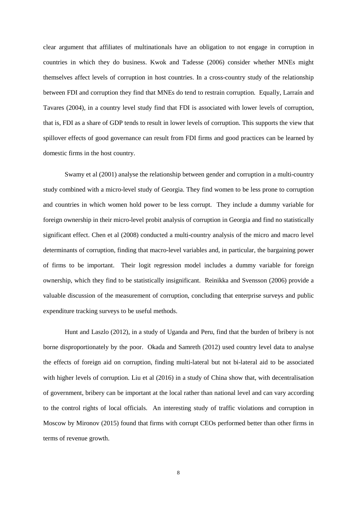clear argument that affiliates of multinationals have an obligation to not engage in corruption in countries in which they do business. Kwok and Tadesse (2006) consider whether MNEs might themselves affect levels of corruption in host countries. In a cross-country study of the relationship between FDI and corruption they find that MNEs do tend to restrain corruption. Equally, Larraín and Tavares (2004), in a country level study find that FDI is associated with lower levels of corruption, that is, FDI as a share of GDP tends to result in lower levels of corruption. This supports the view that spillover effects of good governance can result from FDI firms and good practices can be learned by domestic firms in the host country.

Swamy et al (2001) analyse the relationship between gender and corruption in a multi-country study combined with a micro-level study of Georgia. They find women to be less prone to corruption and countries in which women hold power to be less corrupt. They include a dummy variable for foreign ownership in their micro-level probit analysis of corruption in Georgia and find no statistically significant effect. Chen et al (2008) conducted a multi-country analysis of the micro and macro level determinants of corruption, finding that macro-level variables and, in particular, the bargaining power of firms to be important. Their logit regression model includes a dummy variable for foreign ownership, which they find to be statistically insignificant. Reinikka and Svensson (2006) provide a valuable discussion of the measurement of corruption, concluding that enterprise surveys and public expenditure tracking surveys to be useful methods.

Hunt and Laszlo (2012), in a study of Uganda and Peru, find that the burden of bribery is not borne disproportionately by the poor. Okada and Samreth (2012) used country level data to analyse the effects of foreign aid on corruption, finding multi-lateral but not bi-lateral aid to be associated with higher levels of corruption. Liu et al (2016) in a study of China show that, with decentralisation of government, bribery can be important at the local rather than national level and can vary according to the control rights of local officials. An interesting study of traffic violations and corruption in Moscow by Mironov (2015) found that firms with corrupt CEOs performed better than other firms in terms of revenue growth.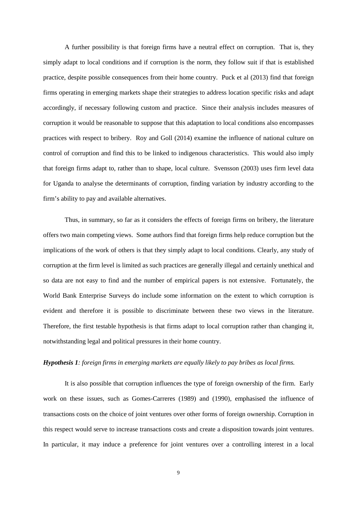A further possibility is that foreign firms have a neutral effect on corruption. That is, they simply adapt to local conditions and if corruption is the norm, they follow suit if that is established practice, despite possible consequences from their home country. Puck et al (2013) find that foreign firms operating in emerging markets shape their strategies to address location specific risks and adapt accordingly, if necessary following custom and practice. Since their analysis includes measures of corruption it would be reasonable to suppose that this adaptation to local conditions also encompasses practices with respect to bribery. Roy and Goll (2014) examine the influence of national culture on control of corruption and find this to be linked to indigenous characteristics. This would also imply that foreign firms adapt to, rather than to shape, local culture. Svensson (2003) uses firm level data for Uganda to analyse the determinants of corruption, finding variation by industry according to the firm's ability to pay and available alternatives.

Thus, in summary, so far as it considers the effects of foreign firms on bribery, the literature offers two main competing views. Some authors find that foreign firms help reduce corruption but the implications of the work of others is that they simply adapt to local conditions. Clearly, any study of corruption at the firm level is limited as such practices are generally illegal and certainly unethical and so data are not easy to find and the number of empirical papers is not extensive. Fortunately, the World Bank Enterprise Surveys do include some information on the extent to which corruption is evident and therefore it is possible to discriminate between these two views in the literature. Therefore, the first testable hypothesis is that firms adapt to local corruption rather than changing it, notwithstanding legal and political pressures in their home country.

### *Hypothesis 1: foreign firms in emerging markets are equally likely to pay bribes as local firms.*

It is also possible that corruption influences the type of foreign ownership of the firm. Early work on these issues, such as Gomes-Carreres (1989) and (1990), emphasised the influence of transactions costs on the choice of joint ventures over other forms of foreign ownership. Corruption in this respect would serve to increase transactions costs and create a disposition towards joint ventures. In particular, it may induce a preference for joint ventures over a controlling interest in a local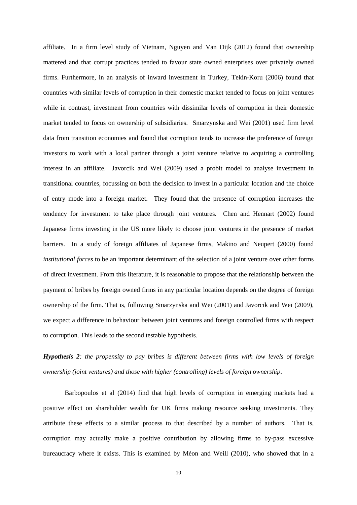affiliate. In a firm level study of Vietnam, Nguyen and Van Dijk (2012) found that ownership mattered and that corrupt practices tended to favour state owned enterprises over privately owned firms. Furthermore, in an analysis of inward investment in Turkey, Tekin-Koru (2006) found that countries with similar levels of corruption in their domestic market tended to focus on joint ventures while in contrast, investment from countries with dissimilar levels of corruption in their domestic market tended to focus on ownership of subsidiaries. Smarzynska and Wei (2001) used firm level data from transition economies and found that corruption tends to increase the preference of foreign investors to work with a local partner through a joint venture relative to acquiring a controlling interest in an affiliate. Javorcik and Wei (2009) used a probit model to analyse investment in transitional countries, focussing on both the decision to invest in a particular location and the choice of entry mode into a foreign market. They found that the presence of corruption increases the tendency for investment to take place through joint ventures. Chen and Hennart (2002) found Japanese firms investing in the US more likely to choose joint ventures in the presence of market barriers. In a study of foreign affiliates of Japanese firms, Makino and Neupert (2000) found *institutional forces* to be an important determinant of the selection of a joint venture over other forms of direct investment. From this literature, it is reasonable to propose that the relationship between the payment of bribes by foreign owned firms in any particular location depends on the degree of foreign ownership of the firm. That is, following Smarzynska and Wei (2001) and Javorcik and Wei (2009), we expect a difference in behaviour between joint ventures and foreign controlled firms with respect to corruption. This leads to the second testable hypothesis.

*Hypothesis 2: the propensity to pay bribes is different between firms with low levels of foreign ownership (joint ventures) and those with higher (controlling) levels of foreign ownership*.

Barbopoulos et al (2014) find that high levels of corruption in emerging markets had a positive effect on shareholder wealth for UK firms making resource seeking investments. They attribute these effects to a similar process to that described by a number of authors. That is, corruption may actually make a positive contribution by allowing firms to by-pass excessive bureaucracy where it exists. This is examined by Méon and Weill (2010), who showed that in a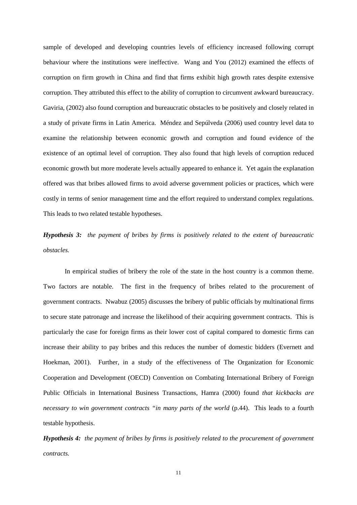sample of developed and developing countries levels of efficiency increased following corrupt behaviour where the institutions were ineffective. Wang and You (2012) examined the effects of corruption on firm growth in China and find that firms exhibit high growth rates despite extensive corruption. They attributed this effect to the ability of corruption to circumvent awkward bureaucracy. Gaviria, (2002) also found corruption and bureaucratic obstacles to be positively and closely related in a study of private firms in Latin America. Méndez and Sepúlveda (2006) used country level data to examine the relationship between economic growth and corruption and found evidence of the existence of an optimal level of corruption. They also found that high levels of corruption reduced economic growth but more moderate levels actually appeared to enhance it. Yet again the explanation offered was that bribes allowed firms to avoid adverse government policies or practices, which were costly in terms of senior management time and the effort required to understand complex regulations. This leads to two related testable hypotheses.

# *Hypothesis 3: the payment of bribes by firms is positively related to the extent of bureaucratic obstacles.*

In empirical studies of bribery the role of the state in the host country is a common theme. Two factors are notable. The first in the frequency of bribes related to the procurement of government contracts. Nwabuz (2005) discusses the bribery of public officials by multinational firms to secure state patronage and increase the likelihood of their acquiring government contracts. This is particularly the case for foreign firms as their lower cost of capital compared to domestic firms can increase their ability to pay bribes and this reduces the number of domestic bidders (Evernett and Hoekman, 2001). Further, in a study of the effectiveness of The Organization for Economic Cooperation and Development (OECD) Convention on Combating International Bribery of Foreign Public Officials in International Business Transactions, Hamra (2000) found *that kickbacks are necessary to win government contracts "in many parts of the world* (p.44). This leads to a fourth testable hypothesis.

*Hypothesis 4: the payment of bribes by firms is positively related to the procurement of government contracts.*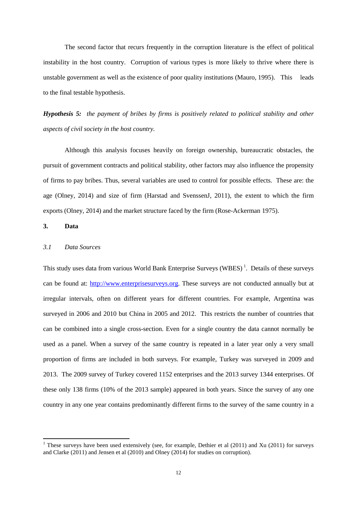The second factor that recurs frequently in the corruption literature is the effect of political instability in the host country. Corruption of various types is more likely to thrive where there is unstable government as well as the existence of poor quality institutions (Mauro, 1995). This leads to the final testable hypothesis.

*Hypothesis 5: the payment of bribes by firms is positively related to political stability and other aspects of civil society in the host country.*

Although this analysis focuses heavily on foreign ownership, bureaucratic obstacles, the pursuit of government contracts and political stability, other factors may also influence the propensity of firms to pay bribes. Thus, several variables are used to control for possible effects. These are: the age (Olney, 2014) and size of firm (Harstad and SvenssenJ, 2011), the extent to which the firm exports (Olney, 2014) and the market structure faced by the firm (Rose-Ackerman 1975).

## **3. Data**

### *3.1 Data Sources*

This study uses data from various World Bank Enterprise Surveys (WBES)<sup>[1](#page-11-0)</sup>. Details of these surveys can be found at: [http://www.enterprisesurveys.org.](http://www.enterprisesurveys.org/) These surveys are not conducted annually but at irregular intervals, often on different years for different countries. For example, Argentina was surveyed in 2006 and 2010 but China in 2005 and 2012. This restricts the number of countries that can be combined into a single cross-section. Even for a single country the data cannot normally be used as a panel. When a survey of the same country is repeated in a later year only a very small proportion of firms are included in both surveys. For example, Turkey was surveyed in 2009 and 2013. The 2009 survey of Turkey covered 1152 enterprises and the 2013 survey 1344 enterprises. Of these only 138 firms (10% of the 2013 sample) appeared in both years. Since the survey of any one country in any one year contains predominantly different firms to the survey of the same country in a

<span id="page-11-0"></span><sup>&</sup>lt;sup>1</sup> These surveys have been used extensively (see, for example, Dethier et al (2011) and Xu (2011) for surveys and Clarke (2011) and Jensen et al (2010) and Olney (2014) for studies on corruption).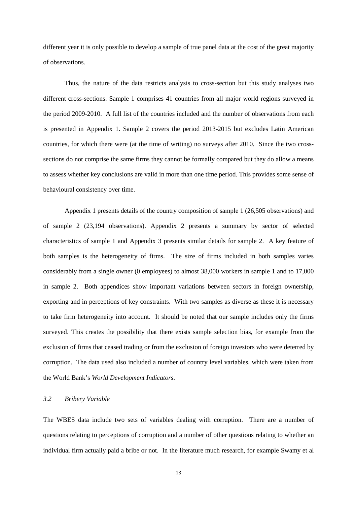different year it is only possible to develop a sample of true panel data at the cost of the great majority of observations.

Thus, the nature of the data restricts analysis to cross-section but this study analyses two different cross-sections. Sample 1 comprises 41 countries from all major world regions surveyed in the period 2009-2010. A full list of the countries included and the number of observations from each is presented in Appendix 1. Sample 2 covers the period 2013-2015 but excludes Latin American countries, for which there were (at the time of writing) no surveys after 2010. Since the two crosssections do not comprise the same firms they cannot be formally compared but they do allow a means to assess whether key conclusions are valid in more than one time period. This provides some sense of behavioural consistency over time.

Appendix 1 presents details of the country composition of sample 1 (26,505 observations) and of sample 2 (23,194 observations). Appendix 2 presents a summary by sector of selected characteristics of sample 1 and Appendix 3 presents similar details for sample 2. A key feature of both samples is the heterogeneity of firms. The size of firms included in both samples varies considerably from a single owner (0 employees) to almost 38,000 workers in sample 1 and to 17,000 in sample 2. Both appendices show important variations between sectors in foreign ownership, exporting and in perceptions of key constraints. With two samples as diverse as these it is necessary to take firm heterogeneity into account. It should be noted that our sample includes only the firms surveyed. This creates the possibility that there exists sample selection bias, for example from the exclusion of firms that ceased trading or from the exclusion of foreign investors who were deterred by corruption. The data used also included a number of country level variables, which were taken from the World Bank's *World Development Indicators*.

#### *3.2 Bribery Variable*

The WBES data include two sets of variables dealing with corruption. There are a number of questions relating to perceptions of corruption and a number of other questions relating to whether an individual firm actually paid a bribe or not. In the literature much research, for example Swamy et al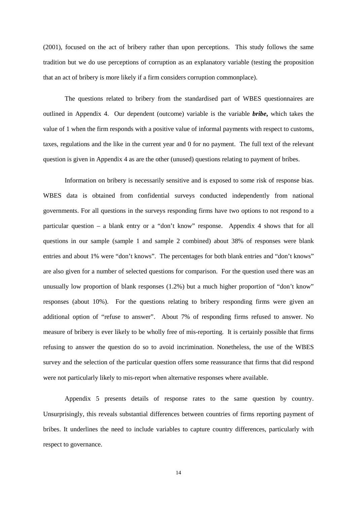(2001), focused on the act of bribery rather than upon perceptions. This study follows the same tradition but we do use perceptions of corruption as an explanatory variable (testing the proposition that an act of bribery is more likely if a firm considers corruption commonplace).

The questions related to bribery from the standardised part of WBES questionnaires are outlined in Appendix 4. Our dependent (outcome) variable is the variable *bribe***,** which takes the value of 1 when the firm responds with a positive value of informal payments with respect to customs, taxes, regulations and the like in the current year and 0 for no payment. The full text of the relevant question is given in Appendix 4 as are the other (unused) questions relating to payment of bribes.

Information on bribery is necessarily sensitive and is exposed to some risk of response bias. WBES data is obtained from confidential surveys conducted independently from national governments. For all questions in the surveys responding firms have two options to not respond to a particular question – a blank entry or a "don't know" response. Appendix 4 shows that for all questions in our sample (sample 1 and sample 2 combined) about 38% of responses were blank entries and about 1% were "don't knows". The percentages for both blank entries and "don't knows" are also given for a number of selected questions for comparison. For the question used there was an unusually low proportion of blank responses (1.2%) but a much higher proportion of "don't know" responses (about 10%). For the questions relating to bribery responding firms were given an additional option of "refuse to answer". About 7% of responding firms refused to answer. No measure of bribery is ever likely to be wholly free of mis-reporting. It is certainly possible that firms refusing to answer the question do so to avoid incrimination. Nonetheless, the use of the WBES survey and the selection of the particular question offers some reassurance that firms that did respond were not particularly likely to mis-report when alternative responses where available.

Appendix 5 presents details of response rates to the same question by country. Unsurprisingly, this reveals substantial differences between countries of firms reporting payment of bribes. It underlines the need to include variables to capture country differences, particularly with respect to governance.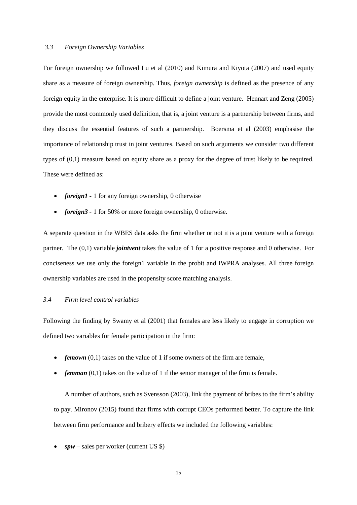#### *3.3 Foreign Ownership Variables*

For foreign ownership we followed Lu et al (2010) and Kimura and Kiyota (2007) and used equity share as a measure of foreign ownership. Thus, *foreign ownership* is defined as the presence of any foreign equity in the enterprise. It is more difficult to define a joint venture. Hennart and Zeng (2005) provide the most commonly used definition, that is, a joint venture is a partnership between firms, and they discuss the essential features of such a partnership. Boersma et al (2003) emphasise the importance of relationship trust in joint ventures. Based on such arguments we consider two different types of (0,1) measure based on equity share as a proxy for the degree of trust likely to be required. These were defined as:

- *foreign1* 1 for any foreign ownership, 0 otherwise
- *foreign3* 1 for 50% or more foreign ownership, 0 otherwise.

A separate question in the WBES data asks the firm whether or not it is a joint venture with a foreign partner. The (0,1) variable *jointvent* takes the value of 1 for a positive response and 0 otherwise. For conciseness we use only the foreign1 variable in the probit and IWPRA analyses. All three foreign ownership variables are used in the propensity score matching analysis.

## *3.4 Firm level control variables*

Following the finding by Swamy et al (2001) that females are less likely to engage in corruption we defined two variables for female participation in the firm:

- *femown* (0,1) takes on the value of 1 if some owners of the firm are female,
- *femman* (0,1) takes on the value of 1 if the senior manager of the firm is female.

A number of authors, such as Svensson (2003), link the payment of bribes to the firm's ability to pay. Mironov (2015) found that firms with corrupt CEOs performed better. To capture the link between firm performance and bribery effects we included the following variables:

 $spw$  – sales per worker (current US \$)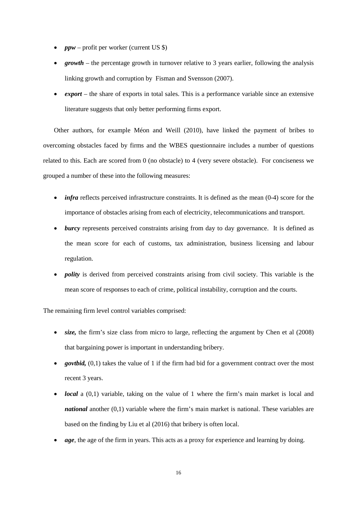- *ppw* profit per worker (current US \$)
- *growth* the percentage growth in turnover relative to 3 years earlier, following the analysis linking growth and corruption by Fisman and Svensson (2007).
- *export*  the share of exports in total sales. This is a performance variable since an extensive literature suggests that only better performing firms export.

Other authors, for example Méon and Weill (2010), have linked the payment of bribes to overcoming obstacles faced by firms and the WBES questionnaire includes a number of questions related to this. Each are scored from 0 (no obstacle) to 4 (very severe obstacle). For conciseness we grouped a number of these into the following measures:

- *infra* reflects perceived infrastructure constraints. It is defined as the mean (0-4) score for the importance of obstacles arising from each of electricity, telecommunications and transport.
- *burcy* represents perceived constraints arising from day to day governance. It is defined as the mean score for each of customs, tax administration, business licensing and labour regulation.
- *polity* is derived from perceived constraints arising from civil society. This variable is the mean score of responses to each of crime, political instability, corruption and the courts.

The remaining firm level control variables comprised:

- *size*, the firm's size class from micro to large, reflecting the argument by Chen et al (2008) that bargaining power is important in understanding bribery.
- *govtbid*, (0,1) takes the value of 1 if the firm had bid for a government contract over the most recent 3 years.
- *local* a (0,1) variable, taking on the value of 1 where the firm's main market is local and *national* another (0,1) variable where the firm's main market is national. These variables are based on the finding by Liu et al (2016) that bribery is often local.
- *age*, the age of the firm in years. This acts as a proxy for experience and learning by doing.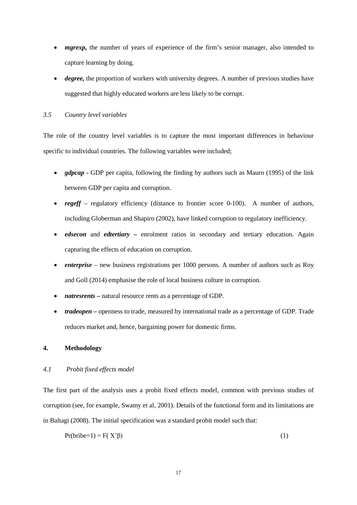- *mgrexp*, the number of years of experience of the firm's senior manager, also intended to capture learning by doing.
- *degree*, the proportion of workers with university degrees. A number of previous studies have suggested that highly educated workers are less likely to be corrupt.

## *3.5 Country level variables*

The role of the country level variables is to capture the most important differences in behaviour specific to individual countries. The following variables were included;

- *gdpcap* GDP per capita, following the finding by authors such as Mauro (1995) of the link between GDP per capita and corruption.
- *regeff* regulatory efficiency (distance to frontier score 0-100). A number of authors, including Globerman and Shapiro (2002), have linked corruption to regulatory inefficiency.
- *edsecon* and *edtertiary* enrolment ratios in secondary and tertiary education. Again capturing the effects of education on corruption.
- *enterprise* new business registrations per 1000 persons. A number of authors such as Roy and Goll (2014) emphasise the role of local business culture in corruption.
- *natresrents –* natural resource rents as a percentage of GDP.
- *tradeopen* openness to trade, measured by international trade as a percentage of GDP. Trade reduces market and, hence, bargaining power for domestic firms.

# **4. Methodology**

# *4.1 Probit fixed effects model*

The first part of the analysis uses a probit fixed effects model, common with previous studies of corruption (see, for example, Swamy et al, 2001). Details of the functional form and its limitations are in Baltagi (2008). The initial specification was a standard probit model such that:

$$
Pr(bribe=1) = F(X'\beta)
$$
 (1)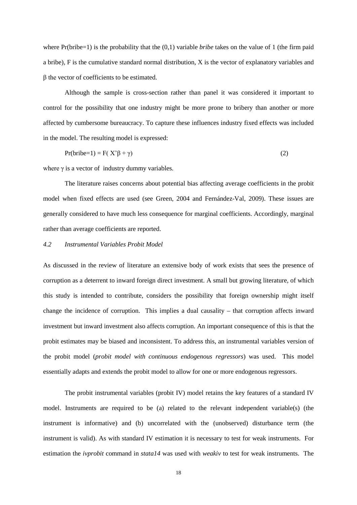where Pr(bribe=1) is the probability that the (0,1) variable *bribe* takes on the value of 1 (the firm paid a bribe), F is the cumulative standard normal distribution, X is the vector of explanatory variables and β the vector of coefficients to be estimated.

Although the sample is cross-section rather than panel it was considered it important to control for the possibility that one industry might be more prone to bribery than another or more affected by cumbersome bureaucracy. To capture these influences industry fixed effects was included in the model. The resulting model is expressed:

$$
Pr(bribe=1) = F(X'\beta + \gamma)
$$
 (2)

where  $\gamma$  is a vector of industry dummy variables.

The literature raises concerns about potential bias affecting average coefficients in the probit model when fixed effects are used (see Green, 2004 and Fernández-Val, 2009). These issues are generally considered to have much less consequence for marginal coefficients. Accordingly, marginal rather than average coefficients are reported.

### *4.2 Instrumental Variables Probit Model*

As discussed in the review of literature an extensive body of work exists that sees the presence of corruption as a deterrent to inward foreign direct investment. A small but growing literature, of which this study is intended to contribute, considers the possibility that foreign ownership might itself change the incidence of corruption. This implies a dual causality – that corruption affects inward investment but inward investment also affects corruption. An important consequence of this is that the probit estimates may be biased and inconsistent. To address this, an instrumental variables version of the probit model (*probit model with continuous endogenous regressors*) was used. This model essentially adapts and extends the probit model to allow for one or more endogenous regressors.

The probit instrumental variables (probit IV) model retains the key features of a standard IV model. Instruments are required to be (a) related to the relevant independent variable(s) (the instrument is informative) and (b) uncorrelated with the (unobserved) disturbance term (the instrument is valid). As with standard IV estimation it is necessary to test for weak instruments. For estimation the *ivprobit* command in *stata14* was used with *weakiv* to test for weak instruments. The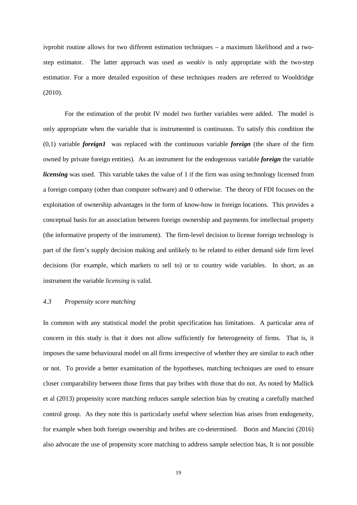ivprobit routine allows for two different estimation techniques – a maximum likelihood and a twostep estimator. The latter approach was used as *weakiv* is only appropriate with the two-step estimatior. For a more detailed exposition of these techniques readers are referred to Wooldridge (2010).

For the estimation of the probit IV model two further variables were added. The model is only appropriate when the variable that is instrumented is continuous. To satisfy this condition the (0,1) variable *foreign1* was replaced with the continuous variable *foreign* (the share of the firm owned by private foreign entities). As an instrument for the endogenous variable *foreign* the variable *licensing* was used. This variable takes the value of 1 if the firm was using technology licensed from a foreign company (other than computer software) and 0 otherwise. The theory of FDI focuses on the exploitation of ownership advantages in the form of know-how in foreign locations. This provides a conceptual basis for an association between foreign ownership and payments for intellectual property (the informative property of the instrument). The firm-level decision to license foreign technology is part of the firm's supply decision making and unlikely to be related to either demand side firm level decisions (for example, which markets to sell to) or to country wide variables. In short, as an instrument the variable *licensing* is valid.

## *4.3 Propensity score matching*

In common with any statistical model the probit specification has limitations. A particular area of concern in this study is that it does not allow sufficiently for heterogeneity of firms. That is, it imposes the same behavioural model on all firms irrespective of whether they are similar to each other or not. To provide a better examination of the hypotheses, matching techniques are used to ensure closer comparability between those firms that pay bribes with those that do not. As noted by Mallick et al (2013) propensity score matching reduces sample selection bias by creating a carefully matched control group. As they note this is particularly useful where selection bias arises from endogeneity, for example when both foreign ownership and bribes are co-determined. Borin and Mancini (2016) also advocate the use of propensity score matching to address sample selection bias, It is not possible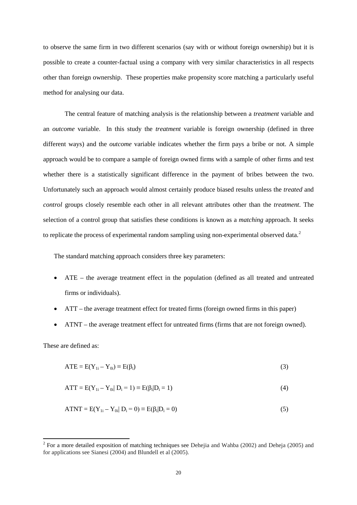to observe the same firm in two different scenarios (say with or without foreign ownership) but it is possible to create a counter-factual using a company with very similar characteristics in all respects other than foreign ownership. These properties make propensity score matching a particularly useful method for analysing our data.

The central feature of matching analysis is the relationship between a *treatment* variable and an *outcome* variable. In this study the *treatment* variable is foreign ownership (defined in three different ways) and the *outcome* variable indicates whether the firm pays a bribe or not. A simple approach would be to compare a sample of foreign owned firms with a sample of other firms and test whether there is a statistically significant difference in the payment of bribes between the two. Unfortunately such an approach would almost certainly produce biased results unless the *treated* and *control* groups closely resemble each other in all relevant attributes other than the *treatment*. The selection of a control group that satisfies these conditions is known as a *matching* approach. It seeks to replicate the process of experimental random sampling using non-experimental observed data.<sup>[2](#page-19-0)</sup>

The standard matching approach considers three key parameters:

- ATE the average treatment effect in the population (defined as all treated and untreated firms or individuals).
- ATT the average treatment effect for treated firms (foreign owned firms in this paper)
- ATNT the average treatment effect for untreated firms (firms that are not foreign owned).

These are defined as:

$$
ATE = E(Y1i - Y0i) \equiv E(\betai)
$$
\n(3)

$$
ATT = E(Y_{1i} - Y_{0i} | D_i = 1) \equiv E(\beta_i | D_i = 1)
$$
\n(4)

$$
ATT = E(Y1i - Y0i | Di = 0) \equiv E(\betai | Di = 0)
$$
\n(5)

<span id="page-19-0"></span><sup>&</sup>lt;sup>2</sup> For a more detailed exposition of matching techniques see Dehejia and Wahba (2002) and Deheja (2005) and for applications see Sianesi (2004) and Blundell et al (2005).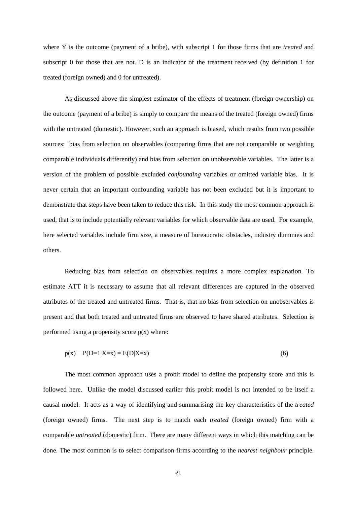where Y is the outcome (payment of a bribe), with subscript 1 for those firms that are *treated* and subscript 0 for those that are not. D is an indicator of the treatment received (by definition 1 for treated (foreign owned) and 0 for untreated).

As discussed above the simplest estimator of the effects of treatment (foreign ownership) on the outcome (payment of a bribe) is simply to compare the means of the treated (foreign owned) firms with the untreated (domestic). However, such an approach is biased, which results from two possible sources: bias from selection on observables (comparing firms that are not comparable or weighting comparable individuals differently) and bias from selection on unobservable variables. The latter is a version of the problem of possible excluded *confounding* variables or omitted variable bias. It is never certain that an important confounding variable has not been excluded but it is important to demonstrate that steps have been taken to reduce this risk. In this study the most common approach is used, that is to include potentially relevant variables for which observable data are used. For example, here selected variables include firm size, a measure of bureaucratic obstacles, industry dummies and others.

Reducing bias from selection on observables requires a more complex explanation. To estimate ATT it is necessary to assume that all relevant differences are captured in the observed attributes of the treated and untreated firms. That is, that no bias from selection on unobservables is present and that both treated and untreated firms are observed to have shared attributes. Selection is performed using a propensity score  $p(x)$  where:

$$
p(x) \equiv P(D=1|X=x) = E(D|X=x)
$$
\n
$$
(6)
$$

The most common approach uses a probit model to define the propensity score and this is followed here. Unlike the model discussed earlier this probit model is not intended to be itself a causal model. It acts as a way of identifying and summarising the key characteristics of the *treated* (foreign owned) firms. The next step is to match each *treated* (foreign owned) firm with a comparable *untreated* (domestic) firm. There are many different ways in which this matching can be done. The most common is to select comparison firms according to the *nearest neighbour* principle.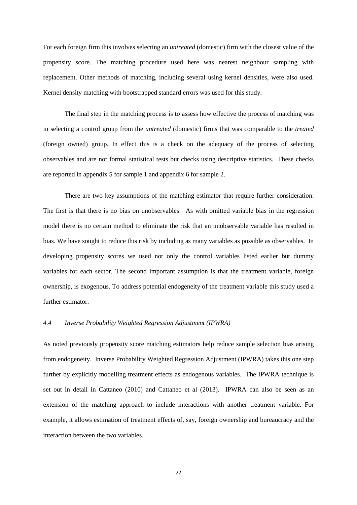For each foreign firm this involves selecting an *untreated* (domestic) firm with the closest value of the propensity score. The matching procedure used here was nearest neighbour sampling with replacement. Other methods of matching, including several using kernel densities, were also used. Kernel density matching with bootstrapped standard errors was used for this study.

The final step in the matching process is to assess how effective the process of matching was in selecting a control group from the *untreated* (domestic) firms that was comparable to the *treated* (foreign owned) group. In effect this is a check on the adequacy of the process of selecting observables and are not formal statistical tests but checks using descriptive statistics. These checks are reported in appendix 5 for sample 1 and appendix 6 for sample 2.

There are two key assumptions of the matching estimator that require further consideration. The first is that there is no bias on unobservables. As with omitted variable bias in the regression model there is no certain method to eliminate the risk that an unobservable variable has resulted in bias. We have sought to reduce this risk by including as many variables as possible as observables. In developing propensity scores we used not only the control variables listed earlier but dummy variables for each sector. The second important assumption is that the treatment variable, foreign ownership, is exogenous. To address potential endogeneity of the treatment variable this study used a further estimator.

#### *4.4 Inverse Probability Weighted Regression Adjustment (IPWRA)*

As noted previously propensity score matching estimators help reduce sample selection bias arising from endogeneity. Inverse Probability Weighted Regression Adjustment (IPWRA) takes this one step further by explicitly modelling treatment effects as endogenous variables. The IPWRA technique is set out in detail in Cattaneo (2010) and Cattaneo et al (2013). IPWRA can also be seen as an extension of the matching approach to include interactions with another treatment variable. For example, it allows estimation of treatment effects of, say, foreign ownership and bureaucracy and the interaction between the two variables.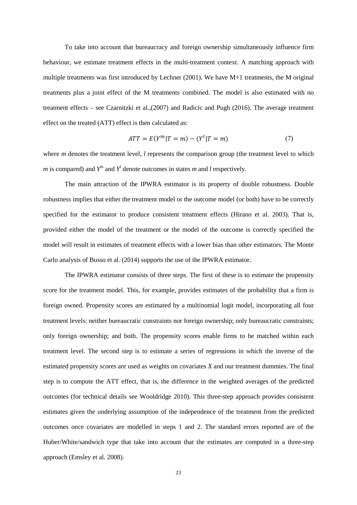To take into account that bureaucracy and foreign ownership simultaneously influence firm behaviour, we estimate treatment effects in the multi-treatment context. A matching approach with multiple treatments was first introduced by Lechner (2001). We have M+1 treatments, the M original treatments plus a joint effect of the M treatments combined. The model is also estimated with no treatment effects – see Czarnitzki et al.,(2007) and Radicic and Pugh (2016). The average treatment effect on the treated (ATT) effect is then calculated as:

$$
ATT = E(Y^{m} | T = m) - (Y^{l} | T = m)
$$
\n(7)

where *m* denotes the treatment level, *l* represents the comparison group (the treatment level to which *m* is compared) and  $Y^m$  and  $Y^l$  denote outcomes in states *m* and *l* respectively.

The main attraction of the IPWRA estimator is its property of double robustness. Double robustness implies that either the treatment model or the outcome model (or both) have to be correctly specified for the estimator to produce consistent treatment effects (Hirano et al. 2003). That is, provided either the model of the treatment or the model of the outcome is correctly specified the model will result in estimates of treatment effects with a lower bias than other estimators. The Monte Carlo analysis of Busso et al. (2014) supports the use of the IPWRA estimator.

The IPWRA estimator consists of three steps. The first of these is to estimate the propensity score for the treatment model. This, for example, provides estimates of the probability that a firm is foreign owned. Propensity scores are estimated by a multinomial logit model, incorporating all four treatment levels: neither bureaucratic constraints nor foreign ownership; only bureaucratic constraints; only foreign ownership; and both. The propensity scores enable firms to be matched within each treatment level. The second step is to estimate a series of regressions in which the inverse of the estimated propensity scores are used as weights on covariates *X* and our treatment dummies. The final step is to compute the ATT effect, that is, the difference in the weighted averages of the predicted outcomes (for technical details see Wooldridge 2010). This three-step approach provides consistent estimates given the underlying assumption of the independence of the treatment from the predicted outcomes once covariates are modelled in steps 1 and 2. The standard errors reported are of the Huber/White/sandwich type that take into account that the estimates are computed in a three-step approach (Emsley et al. 2008).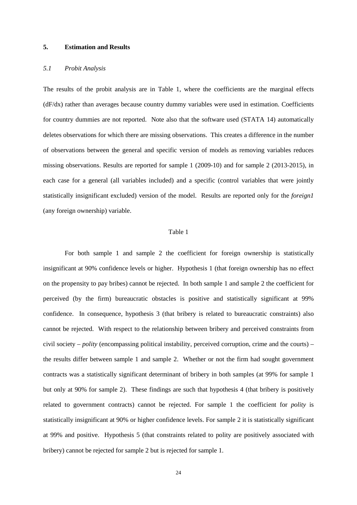#### **5. Estimation and Results**

## *5.1 Probit Analysis*

The results of the probit analysis are in Table 1, where the coefficients are the marginal effects (dF/dx) rather than averages because country dummy variables were used in estimation. Coefficients for country dummies are not reported. Note also that the software used (STATA 14) automatically deletes observations for which there are missing observations. This creates a difference in the number of observations between the general and specific version of models as removing variables reduces missing observations. Results are reported for sample 1 (2009-10) and for sample 2 (2013-2015), in each case for a general (all variables included) and a specific (control variables that were jointly statistically insignificant excluded) version of the model. Results are reported only for the *foreign1* (any foreign ownership) variable.

#### Table 1

For both sample 1 and sample 2 the coefficient for foreign ownership is statistically insignificant at 90% confidence levels or higher. Hypothesis 1 (that foreign ownership has no effect on the propensity to pay bribes) cannot be rejected. In both sample 1 and sample 2 the coefficient for perceived (by the firm) bureaucratic obstacles is positive and statistically significant at 99% confidence. In consequence, hypothesis 3 (that bribery is related to bureaucratic constraints) also cannot be rejected. With respect to the relationship between bribery and perceived constraints from civil society – *polity* (encompassing political instability, perceived corruption, crime and the courts) – the results differ between sample 1 and sample 2. Whether or not the firm had sought government contracts was a statistically significant determinant of bribery in both samples (at 99% for sample 1 but only at 90% for sample 2). These findings are such that hypothesis 4 (that bribery is positively related to government contracts) cannot be rejected. For sample 1 the coefficient for *polity* is statistically insignificant at 90% or higher confidence levels. For sample 2 it is statistically significant at 99% and positive. Hypothesis 5 (that constraints related to polity are positively associated with bribery) cannot be rejected for sample 2 but is rejected for sample 1.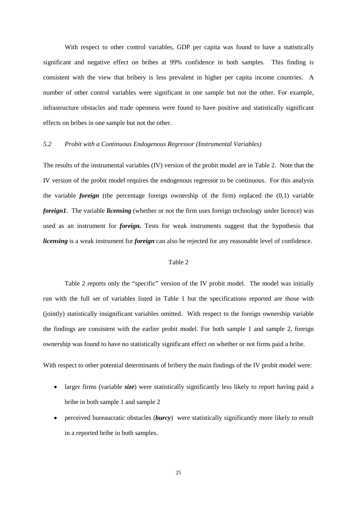With respect to other control variables, GDP per capita was found to have a statistically significant and negative effect on bribes at 99% confidence in both samples. This finding is consistent with the view that bribery is less prevalent in higher per capita income countries. A number of other control variables were significant in one sample but not the other. For example, infrastructure obstacles and trade openness were found to have positive and statistically significant effects on bribes in one sample but not the other.

### *5.2 Probit with a Continuous Endogenous Regressor (Instrumental Variables)*

The results of the instrumental variables (IV) version of the probit model are in Table 2. Note that the IV version of the probit model requires the endogenous regressor to be continuous. For this analysis the variable *foreign* (the percentage foreign ownership of the firm) replaced the (0,1) variable *foreign1*. The variable *licensing* (whether or not the firm uses foreign technology under licence) was used as an instrument for *foreign.* Tests for weak instruments suggest that the hypothesis that *licensing* is a weak instrument for *foreign* can also be rejected for any reasonable level of confidence.

#### Table 2

Table 2 reports only the "specific" version of the IV probit model. The model was initially run with the full set of variables listed in Table 1 but the specifications reported are those with (jointly) statistically insignificant variables omitted. With respect to the foreign ownership variable the findings are consistent with the earlier probit model. For both sample 1 and sample 2, foreign ownership was found to have no statistically significant effect on whether or not firms paid a bribe.

With respect to other potential determinants of bribery the main findings of the IV probit model were:

- larger firms (variable *size*) were statistically significantly less likely to report having paid a bribe in both sample 1 and sample 2
- perceived bureaucratic obstacles (*burcy*) were statistically significantly more likely to result in a reported bribe in both samples.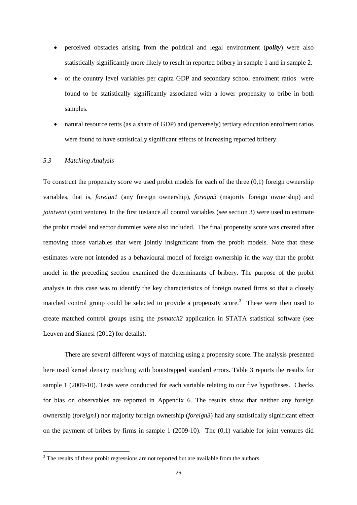- perceived obstacles arising from the political and legal environment (*polity*) were also statistically significantly more likely to result in reported bribery in sample 1 and in sample 2.
- of the country level variables per capita GDP and secondary school enrolment ratios were found to be statistically significantly associated with a lower propensity to bribe in both samples.
- natural resource rents (as a share of GDP) and (perversely) tertiary education enrolment ratios were found to have statistically significant effects of increasing reported bribery.

## *5.3 Matching Analysis*

To construct the propensity score we used probit models for each of the three  $(0,1)$  foreign ownership variables, that is, *foreign1* (any foreign ownership), *foreign3* (majority foreign ownership) and *jointvent* (joint venture). In the first instance all control variables (see section 3) were used to estimate the probit model and sector dummies were also included. The final propensity score was created after removing those variables that were jointly insignificant from the probit models. Note that these estimates were not intended as a behavioural model of foreign ownership in the way that the probit model in the preceding section examined the determinants of bribery. The purpose of the probit analysis in this case was to identify the key characteristics of foreign owned firms so that a closely matched control group could be selected to provide a propensity score.<sup>[3](#page-25-0)</sup> These were then used to create matched control groups using the *psmatch2* application in STATA statistical software (see Leuven and Sianesi (2012) for details).

There are several different ways of matching using a propensity score. The analysis presented here used kernel density matching with bootstrapped standard errors. Table 3 reports the results for sample 1 (2009-10). Tests were conducted for each variable relating to our five hypotheses. Checks for bias on observables are reported in Appendix 6. The results show that neither any foreign ownership (*foreign1*) nor majority foreign ownership (*foreign3*) had any statistically significant effect on the payment of bribes by firms in sample  $1$  (2009-10). The  $(0,1)$  variable for joint ventures did

<span id="page-25-0"></span><sup>&</sup>lt;sup>3</sup> The results of these probit regressions are not reported but are available from the authors.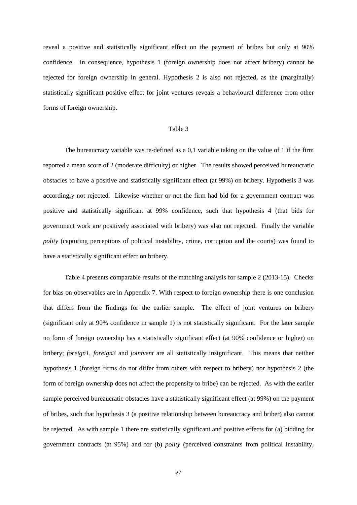reveal a positive and statistically significant effect on the payment of bribes but only at 90% confidence. In consequence, hypothesis 1 (foreign ownership does not affect bribery) cannot be rejected for foreign ownership in general. Hypothesis 2 is also not rejected, as the (marginally) statistically significant positive effect for joint ventures reveals a behavioural difference from other forms of foreign ownership.

#### Table 3

The bureaucracy variable was re-defined as a 0,1 variable taking on the value of 1 if the firm reported a mean score of 2 (moderate difficulty) or higher. The results showed perceived bureaucratic obstacles to have a positive and statistically significant effect (at 99%) on bribery. Hypothesis 3 was accordingly not rejected. Likewise whether or not the firm had bid for a government contract was positive and statistically significant at 99% confidence, such that hypothesis 4 (that bids for government work are positively associated with bribery) was also not rejected. Finally the variable *polity* (capturing perceptions of political instability, crime, corruption and the courts) was found to have a statistically significant effect on bribery.

Table 4 presents comparable results of the matching analysis for sample 2 (2013-15). Checks for bias on observables are in Appendix 7. With respect to foreign ownership there is one conclusion that differs from the findings for the earlier sample. The effect of joint ventures on bribery (significant only at 90% confidence in sample 1) is not statistically significant. For the later sample no form of foreign ownership has a statistically significant effect (at 90% confidence or higher) on bribery; *foreign1, foreign3* and *jointvent* are all statistically insignificant. This means that neither hypothesis 1 (foreign firms do not differ from others with respect to bribery) nor hypothesis 2 (the form of foreign ownership does not affect the propensity to bribe) can be rejected. As with the earlier sample perceived bureaucratic obstacles have a statistically significant effect (at 99%) on the payment of bribes, such that hypothesis 3 (a positive relationship between bureaucracy and briber) also cannot be rejected. As with sample 1 there are statistically significant and positive effects for (a) bidding for government contracts (at 95%) and for (b) *polity* (perceived constraints from political instability,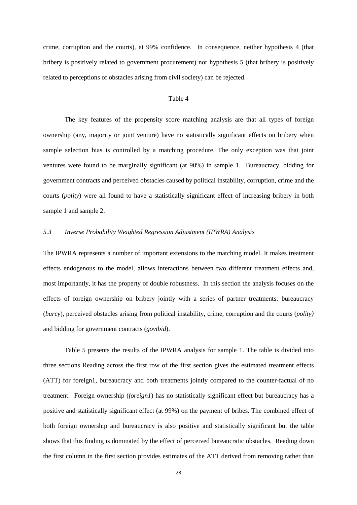crime, corruption and the courts), at 99% confidence. In consequence, neither hypothesis 4 (that bribery is positively related to government procurement) nor hypothesis 5 (that bribery is positively related to perceptions of obstacles arising from civil society) can be rejected.

#### Table 4

The key features of the propensity score matching analysis are that all types of foreign ownership (any, majority or joint venture) have no statistically significant effects on bribery when sample selection bias is controlled by a matching procedure. The only exception was that joint ventures were found to be marginally significant (at 90%) in sample 1. Bureaucracy, bidding for government contracts and perceived obstacles caused by political instability, corruption, crime and the courts (*polity*) were all found to have a statistically significant effect of increasing bribery in both sample 1 and sample 2.

#### *5.3 Inverse Probability Weighted Regression Adjustment (IPWRA) Analysis*

The IPWRA represents a number of important extensions to the matching model. It makes treatment effects endogenous to the model, allows interactions between two different treatment effects and, most importantly, it has the property of double robustness. In this section the analysis focuses on the effects of foreign ownership on bribery jointly with a series of partner treatments: bureaucracy (*burcy*), perceived obstacles arising from political instability, crime, corruption and the courts (*polity)* and bidding for government contracts (*govtbid*).

Table 5 presents the results of the IPWRA analysis for sample 1. The table is divided into three sections Reading across the first row of the first section gives the estimated treatment effects (ATT) for foreign1, bureaucracy and both treatments jointly compared to the counter-factual of no treatment. Foreign ownership (*foreign1*) has no statistically significant effect but bureaucracy has a positive and statistically significant effect (at 99%) on the payment of bribes. The combined effect of both foreign ownership and bureaucracy is also positive and statistically significant but the table shows that this finding is dominated by the effect of perceived bureaucratic obstacles. Reading down the first column in the first section provides estimates of the ATT derived from removing rather than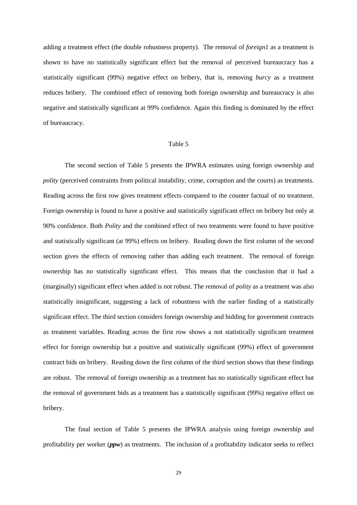adding a treatment effect (the double robustness property). The removal of *foreign1* as a treatment is shown to have no statistically significant effect but the removal of perceived bureaucracy has a statistically significant (99%) negative effect on bribery, that is, removing *burcy* as a treatment reduces bribery. The combined effect of removing both foreign ownership and bureaucracy is also negative and statistically significant at 99% confidence. Again this finding is dominated by the effect of bureaucracy.

#### Table 5

The second section of Table 5 presents the IPWRA estimates using foreign ownership and *polity* (perceived constraints from political instability, crime, corruption and the courts) as treatments. Reading across the first row gives treatment effects compared to the counter factual of no treatment. Foreign ownership is found to have a positive and statistically significant effect on bribery but only at 90% confidence. Both *Polity* and the combined effect of two treatments were found to have positive and statistically significant (at 99%) effects on bribery. Reading down the first column of the second section gives the effects of removing rather than adding each treatment. The removal of foreign ownership has no statistically significant effect. This means that the conclusion that it had a (marginally) significant effect when added is not robust. The removal of *polity* as a treatment was also statistically insignificant, suggesting a lack of robustness with the earlier finding of a statistically significant effect. The third section considers foreign ownership and bidding for government contracts as treatment variables. Reading across the first row shows a not statistically significant treatment effect for foreign ownership but a positive and statistically significant (99%) effect of government contract bids on bribery. Reading down the first column of the third section shows that these findings are robust. The removal of foreign ownership as a treatment has no statistically significant effect but the removal of government bids as a treatment has a statistically significant (99%) negative effect on bribery.

The final section of Table 5 presents the IPWRA analysis using foreign ownership and profitability per worker (*ppw*) as treatments. The inclusion of a profitability indicator seeks to reflect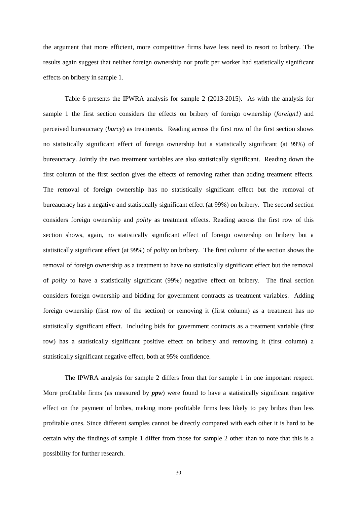the argument that more efficient, more competitive firms have less need to resort to bribery. The results again suggest that neither foreign ownership nor profit per worker had statistically significant effects on bribery in sample 1.

Table 6 presents the IPWRA analysis for sample 2 (2013-2015). As with the analysis for sample 1 the first section considers the effects on bribery of foreign ownership (*foreign1)* and perceived bureaucracy (*burcy*) as treatments. Reading across the first row of the first section shows no statistically significant effect of foreign ownership but a statistically significant (at 99%) of bureaucracy. Jointly the two treatment variables are also statistically significant. Reading down the first column of the first section gives the effects of removing rather than adding treatment effects. The removal of foreign ownership has no statistically significant effect but the removal of bureaucracy has a negative and statistically significant effect (at 99%) on bribery. The second section considers foreign ownership and *polity* as treatment effects. Reading across the first row of this section shows, again, no statistically significant effect of foreign ownership on bribery but a statistically significant effect (at 99%) of *polity* on bribery. The first column of the section shows the removal of foreign ownership as a treatment to have no statistically significant effect but the removal of *polity* to have a statistically significant (99%) negative effect on bribery. The final section considers foreign ownership and bidding for government contracts as treatment variables. Adding foreign ownership (first row of the section) or removing it (first column) as a treatment has no statistically significant effect. Including bids for government contracts as a treatment variable (first row) has a statistically significant positive effect on bribery and removing it (first column) a statistically significant negative effect, both at 95% confidence.

The IPWRA analysis for sample 2 differs from that for sample 1 in one important respect. More profitable firms (as measured by  $ppw$ ) were found to have a statistically significant negative effect on the payment of bribes, making more profitable firms less likely to pay bribes than less profitable ones. Since different samples cannot be directly compared with each other it is hard to be certain why the findings of sample 1 differ from those for sample 2 other than to note that this is a possibility for further research.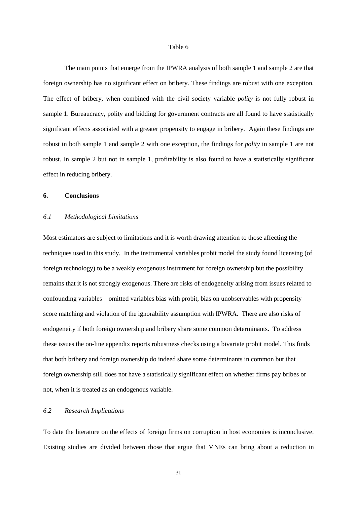#### Table 6

The main points that emerge from the IPWRA analysis of both sample 1 and sample 2 are that foreign ownership has no significant effect on bribery. These findings are robust with one exception. The effect of bribery, when combined with the civil society variable *polity* is not fully robust in sample 1. Bureaucracy, polity and bidding for government contracts are all found to have statistically significant effects associated with a greater propensity to engage in bribery. Again these findings are robust in both sample 1 and sample 2 with one exception, the findings for *polity* in sample 1 are not robust. In sample 2 but not in sample 1, profitability is also found to have a statistically significant effect in reducing bribery.

### **6. Conclusions**

#### *6.1 Methodological Limitations*

Most estimators are subject to limitations and it is worth drawing attention to those affecting the techniques used in this study. In the instrumental variables probit model the study found licensing (of foreign technology) to be a weakly exogenous instrument for foreign ownership but the possibility remains that it is not strongly exogenous. There are risks of endogeneity arising from issues related to confounding variables – omitted variables bias with probit, bias on unobservables with propensity score matching and violation of the ignorability assumption with IPWRA. There are also risks of endogeneity if both foreign ownership and bribery share some common determinants. To address these issues the on-line appendix reports robustness checks using a bivariate probit model. This finds that both bribery and foreign ownership do indeed share some determinants in common but that foreign ownership still does not have a statistically significant effect on whether firms pay bribes or not, when it is treated as an endogenous variable.

## *6.2 Research Implications*

To date the literature on the effects of foreign firms on corruption in host economies is inconclusive. Existing studies are divided between those that argue that MNEs can bring about a reduction in

31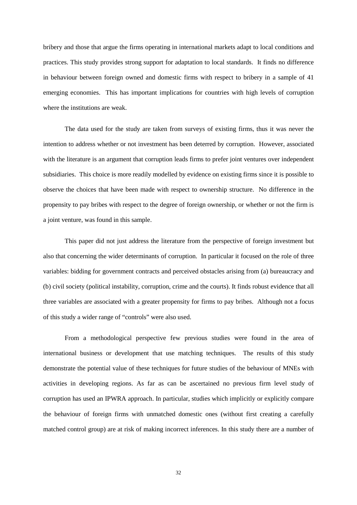bribery and those that argue the firms operating in international markets adapt to local conditions and practices. This study provides strong support for adaptation to local standards. It finds no difference in behaviour between foreign owned and domestic firms with respect to bribery in a sample of 41 emerging economies. This has important implications for countries with high levels of corruption where the institutions are weak.

The data used for the study are taken from surveys of existing firms, thus it was never the intention to address whether or not investment has been deterred by corruption. However, associated with the literature is an argument that corruption leads firms to prefer joint ventures over independent subsidiaries. This choice is more readily modelled by evidence on existing firms since it is possible to observe the choices that have been made with respect to ownership structure. No difference in the propensity to pay bribes with respect to the degree of foreign ownership, or whether or not the firm is a joint venture, was found in this sample.

This paper did not just address the literature from the perspective of foreign investment but also that concerning the wider determinants of corruption. In particular it focused on the role of three variables: bidding for government contracts and perceived obstacles arising from (a) bureaucracy and (b) civil society (political instability, corruption, crime and the courts). It finds robust evidence that all three variables are associated with a greater propensity for firms to pay bribes. Although not a focus of this study a wider range of "controls" were also used.

From a methodological perspective few previous studies were found in the area of international business or development that use matching techniques. The results of this study demonstrate the potential value of these techniques for future studies of the behaviour of MNEs with activities in developing regions. As far as can be ascertained no previous firm level study of corruption has used an IPWRA approach. In particular, studies which implicitly or explicitly compare the behaviour of foreign firms with unmatched domestic ones (without first creating a carefully matched control group) are at risk of making incorrect inferences. In this study there are a number of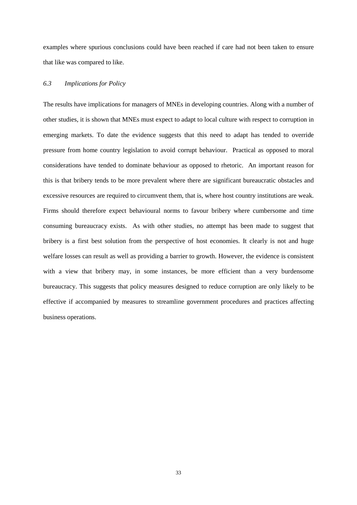examples where spurious conclusions could have been reached if care had not been taken to ensure that like was compared to like.

## *6.3 Implications for Policy*

The results have implications for managers of MNEs in developing countries. Along with a number of other studies, it is shown that MNEs must expect to adapt to local culture with respect to corruption in emerging markets. To date the evidence suggests that this need to adapt has tended to override pressure from home country legislation to avoid corrupt behaviour. Practical as opposed to moral considerations have tended to dominate behaviour as opposed to rhetoric. An important reason for this is that bribery tends to be more prevalent where there are significant bureaucratic obstacles and excessive resources are required to circumvent them, that is, where host country institutions are weak. Firms should therefore expect behavioural norms to favour bribery where cumbersome and time consuming bureaucracy exists. As with other studies, no attempt has been made to suggest that bribery is a first best solution from the perspective of host economies. It clearly is not and huge welfare losses can result as well as providing a barrier to growth. However, the evidence is consistent with a view that bribery may, in some instances, be more efficient than a very burdensome bureaucracy. This suggests that policy measures designed to reduce corruption are only likely to be effective if accompanied by measures to streamline government procedures and practices affecting business operations.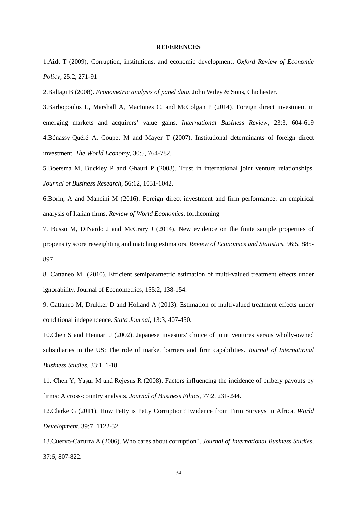#### **REFERENCES**

1.Aidt T (2009), Corruption, institutions, and economic development, *Oxford Review of Economic Policy,* 25:2, 271-91

2.Baltagi B (2008). *Econometric analysis of panel data*. John Wiley & Sons, Chichester.

3.Barbopoulos L, Marshall A, MacInnes C, and McColgan P (2014). Foreign direct investment in emerging markets and acquirers' value gains. *International Business Review,* 23:3, 604-619 4.Bénassy‐Quéré A, Coupet M and Mayer T (2007). Institutional determinants of foreign direct investment. *The World Economy*, 30:5, 764-782.

5.Boersma M, Buckley P and Ghauri P (2003). Trust in international joint venture relationships. *Journal of Business Research*, 56:12, 1031-1042.

6.Borin, A and Mancini M (2016). Foreign direct investment and firm performance: an empirical analysis of Italian firms. *Review of World Economics*, forthcoming

7. Busso M, DiNardo J and McCrary J (2014). New evidence on the finite sample properties of propensity score reweighting and matching estimators. *Review of Economics and Statistics*, 96:5, 885- 897

8. Cattaneo M (2010). Efficient semiparametric estimation of multi-valued treatment effects under ignorability. Journal of Econometrics, 155:2, 138-154.

9. Cattaneo M, Drukker D and Holland A (2013). Estimation of multivalued treatment effects under conditional independence. *Stata Journal*, 13:3, 407-450.

10.Chen S and Hennart J (2002). Japanese investors' choice of joint ventures versus wholly-owned subsidiaries in the US: The role of market barriers and firm capabilities. *Journal of International Business Studies*, 33:1, 1-18.

11. Chen Y, Yaşar M and Rejesus R (2008). Factors influencing the incidence of bribery payouts by firms: A cross-country analysis. *Journal of Business Ethics*, 77:2, 231-244.

12.Clarke G (2011). How Petty is Petty Corruption? Evidence from Firm Surveys in Africa. *World Development,* 39:7, 1122-32.

13.Cuervo-Cazurra A (2006). Who cares about corruption?. *Journal of International Business Studies*, 37:6, 807-822.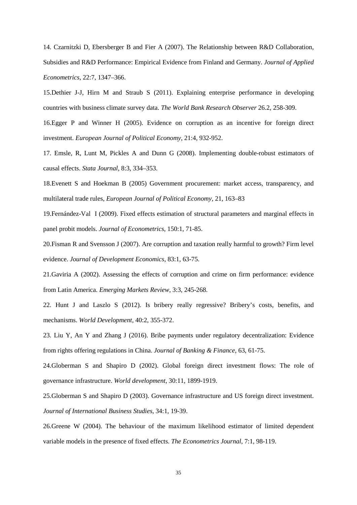14. Czarnitzki D, Ebersberger B and Fier A (2007). The Relationship between R&D Collaboration, Subsidies and R&D Performance: Empirical Evidence from Finland and Germany. *Journal of Applied Econometrics*, 22:7, 1347–366.

15.Dethier J-J, Hirn M and Straub S (2011). Explaining enterprise performance in developing countries with business climate survey data. *The World Bank Research Observer* 26.2, 258-309.

16.Egger P and Winner H (2005). Evidence on corruption as an incentive for foreign direct investment. *European Journal of Political Economy*, 21:4, 932-952.

17. Emsle, R, Lunt M, Pickles A and Dunn G (2008). Implementing double-robust estimators of causal effects. *Stata Journal*, 8:3, 334–353.

18.Evenett S and Hoekman B (2005) Government procurement: market access, transparency, and multilateral trade rules, *European Journal of Political Economy,* 21, 163–83

19.Fernández-Val I (2009). Fixed effects estimation of structural parameters and marginal effects in panel probit models. *Journal of Econometrics*, 150:1, 71-85.

20.Fisman R and Svensson J (2007). Are corruption and taxation really harmful to growth? Firm level evidence. *Journal of Development Economics*, 83:1, 63-75.

21.Gaviria A (2002). Assessing the effects of corruption and crime on firm performance: evidence from Latin America. *Emerging Markets Review*, 3:3, 245-268.

22. Hunt J and Laszlo S (2012). Is bribery really regressive? Bribery's costs, benefits, and mechanisms. *World Development*, 40:2, 355-372.

23. Liu Y, An Y and Zhang J (2016). Bribe payments under regulatory decentralization: Evidence from rights offering regulations in China. *Journal of Banking & Finance*, 63, 61-75.

24.Globerman S and Shapiro D (2002). Global foreign direct investment flows: The role of governance infrastructure. *World development*, 30:11, 1899-1919.

25.Globerman S and Shapiro D (2003). Governance infrastructure and US foreign direct investment. *Journal of International Business Studies*, 34:1, 19-39.

26.Greene W (2004). The behaviour of the maximum likelihood estimator of limited dependent variable models in the presence of fixed effects. *The Econometrics Journal*, 7:1, 98-119.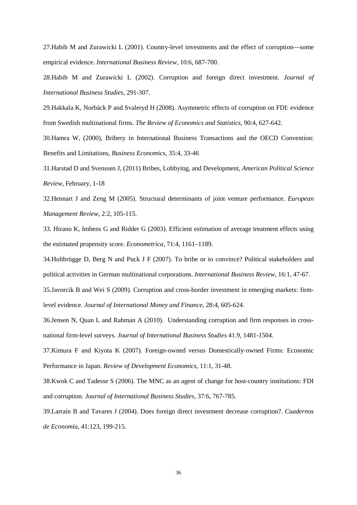27.Habib M and Zurawicki L (2001). Country-level investments and the effect of corruption—some empirical evidence. *International Business Review*, 10:6, 687-700.

28.Habib M and Zurawicki L (2002). Corruption and foreign direct investment. *Journal of International Business Studies*, 291-307.

29.Hakkala K, Norbäck P and Svaleryd H (2008). Asymmetric effects of corruption on FDI: evidence from Swedish multinational firms. *The Review of Economics and Statistics*, 90:4, 627-642.

30.Hamra W, (2000), Bribery in International Business Transactions and the OECD Convention: Benefits and Limitations, *Business Economics,* 35:4, 33-46

31.Harstad D and Svenssen J, (2011) Bribes, Lobbying, and Development, *American Political Science Review*, February, 1-18

32.Hennart J and Zeng M (2005). Structural determinants of joint venture performance. *European Management Review*, 2:2, 105-115.

33. Hirano K, Imbens G and Ridder G (2003). Efficient estimation of average treatment effects using the estimated propensity score. *Econometrica,* 71:4, 1161–1189.

34.Holtbrügge D, Berg N and Puck J F (2007). To bribe or to convince? Political stakeholders and political activities in German multinational corporations. *International Business Review*, 16:1, 47-67.

35.Javorcik B and Wei S (2009). Corruption and cross-border investment in emerging markets: firmlevel evidence. *Journal of International Money and Finance*, 28:4, 605-624.

36.Jensen N, Quan L and Rahman A (2010). Understanding corruption and firm responses in crossnational firm-level surveys. *Journal of International Business Studies* 41.9, 1481-1504.

37.Kimura F and Kiyota K (2007). Foreign‐owned versus Domestically‐owned Firms: Economic Performance in Japan. *Review of Development Economics*, 11:1, 31-48.

38.Kwok C and Tadesse S (2006). The MNC as an agent of change for host-country institutions: FDI and corruption. *Journal of International Business Studies*, 37:6, 767-785.

39.Larraín B and Tavares J (2004). Does foreign direct investment decrease corruption?. *Cuadernos de Economía*, 41:123, 199-215.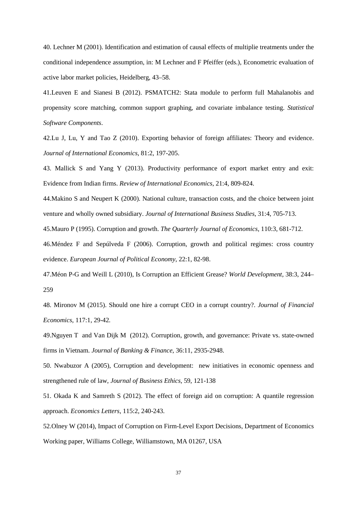40. Lechner M (2001). Identification and estimation of causal effects of multiplie treatments under the conditional independence assumption, in: M Lechner and F Pfeiffer (eds.), Econometric evaluation of active labor market policies, Heidelberg, 43–58.

41.Leuven E and Sianesi B (2012). PSMATCH2: Stata module to perform full Mahalanobis and propensity score matching, common support graphing, and covariate imbalance testing. *Statistical Software Components*.

42.Lu J, Lu, Y and Tao Z (2010). Exporting behavior of foreign affiliates: Theory and evidence. *Journal of International Economics*, 81:2, 197-205.

43. Mallick S and Yang Y (2013). Productivity performance of export market entry and exit: Evidence from Indian firms. *Review of International Economics*, 21:4, 809-824.

44.Makino S and Neupert K (2000). National culture, transaction costs, and the choice between joint venture and wholly owned subsidiary. *Journal of International Business Studies*, 31:4, 705-713.

45.Mauro P (1995). Corruption and growth. *The Quarterly Journal of Economics*, 110:3, 681-712.

46.Méndez F and Sepúlveda F (2006). Corruption, growth and political regimes: cross country evidence. *European Journal of Political Economy*, 22:1, 82-98.

47.Méon P-G and Weill L (2010), Is Corruption an Efficient Grease? *World Development,* 38:3, 244– 259

48. Mironov M (2015). Should one hire a corrupt CEO in a corrupt country?. *Journal of Financial Economics,* 117:1, 29-42*.*

49.Nguyen T and Van Dijk M (2012). Corruption, growth, and governance: Private vs. state-owned firms in Vietnam. *Journal of Banking & Finance*, 36:11, 2935-2948.

50. Nwabuzor A (2005), Corruption and development: new initiatives in economic openness and strengthened rule of law, *Journal of Business Ethics,* 59, 121-138

51. Okada K and Samreth S (2012). The effect of foreign aid on corruption: A quantile regression approach. *Economics Letters*, 115:2, 240-243.

52.Olney W (2014), Impact of Corruption on Firm-Level Export Decisions, Department of Economics Working paper, Williams College, Williamstown, MA 01267, USA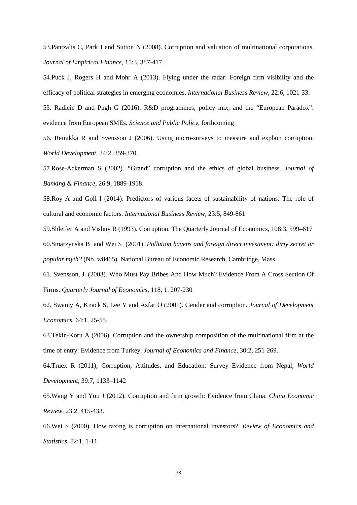53.Pantzalis C, Park J and Sutton N (2008). Corruption and valuation of multinational corporations. *Journal of Empirical Finance*, 15:3, 387-417.

54.Puck J, Rogers H and Mohr A (2013). Flying under the radar: Foreign firm visibility and the efficacy of political strategies in emerging economies. *International Business Review*, 22:6, 1021-33.

55. Radicic D and Pugh G (2016). R&D programmes, policy mix, and the "European Paradox": evidence from European SMEs. *Science and Public Policy*, forthcoming

56. Reinikka R and Svensson J (2006). Using micro-surveys to measure and explain corruption. *World Development*, 34:2, 359-370.

57.Rose-Ackerman S (2002). "Grand" corruption and the ethics of global business. *Journal of Banking & Finance*, 26:9, 1889-1918.

58.Roy A and Goll I (2014). Predictors of various facets of sustainability of nations: The role of cultural and economic factors. *International Business Review,* 23:5, 849-861

59.Shleifer A and Vishny R (1993). Corruption. The Quarterly Journal of Economics, 108:3, 599–617 60.Smarzynska B and Wei S (2001). *Pollution havens and foreign direct investment: dirty secret or popular myth?* (No. w8465). National Bureau of Economic Research, Cambridge, Mass.

61. Svensson, J. (2003). Who Must Pay Bribes And How Much? Evidence From A Cross Section Of Firms. *Quarterly Journal of Economics*, 118, 1. 207-230

62. Swamy A, Knack S, Lee Y and Azfar O (2001). Gender and corruption. *Journal of Development Economics*, 64:1, 25-55.

63.Tekin-Koru A (2006). Corruption and the ownership composition of the multinational firm at the time of entry: Evidence from Turkey. *Journal of Economics and Finance*, 30:2, 251-269.

64.Truex R (2011), Corruption, Attitudes, and Education: Survey Evidence from Nepal, *World Development,* 39:7, 1133–1142

65.Wang Y and You J (2012). Corruption and firm growth: Evidence from China. *China Economic Review*, 23:2, 415-433.

66.Wei S (2000). How taxing is corruption on international investors?. *Review of Economics and Statistics*, 82:1, 1-11.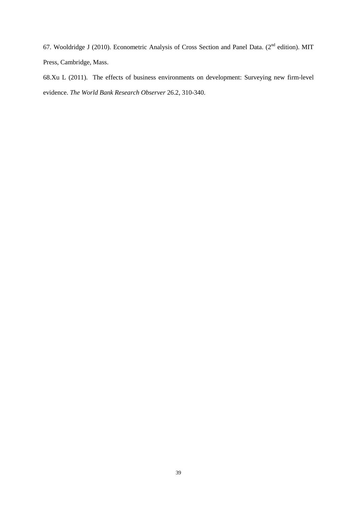67. Wooldridge J (2010). Econometric Analysis of Cross Section and Panel Data. (2<sup>nd</sup> edition). MIT Press, Cambridge, Mass.

68.Xu L (2011). The effects of business environments on development: Surveying new firm-level evidence. *The World Bank Research Observer* 26.2, 310-340.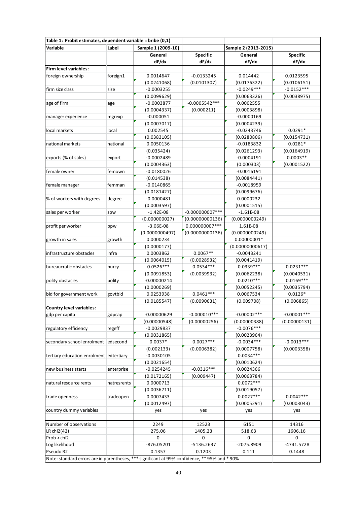|                                                                                               | Table 1: Probit estimates, dependent variable = bribe (0,1) |                    |                   |                      |                 |  |  |  |
|-----------------------------------------------------------------------------------------------|-------------------------------------------------------------|--------------------|-------------------|----------------------|-----------------|--|--|--|
| Variable                                                                                      | Label                                                       | Sample 1 (2009-10) |                   | Sample 2 (2013-2015) |                 |  |  |  |
|                                                                                               |                                                             | General            | Specific          | General              | <b>Specific</b> |  |  |  |
|                                                                                               |                                                             | dF/dx              | dF/dx             | dF/dx                | dF/dx           |  |  |  |
| Firm level variables:                                                                         |                                                             |                    |                   |                      |                 |  |  |  |
| foreign ownership                                                                             | foreign1                                                    | 0.0014647          | $-0.0133245$      | 0.014442             | 0.0123595       |  |  |  |
|                                                                                               |                                                             | (0.0241068)        | (0.0101307)       | (0.0176322)          | (0.0106151)     |  |  |  |
| firm size class                                                                               | size                                                        | $-0.0003255$       |                   | $-0.0249***$         | $-0.0152***$    |  |  |  |
|                                                                                               |                                                             | (0.0099629)        |                   | (0.0063326)          | (0.0038975)     |  |  |  |
| age of firm                                                                                   | age                                                         | $-0.0003877$       | $-0.0005542***$   | 0.0002555            |                 |  |  |  |
|                                                                                               |                                                             | (0.0004337)        | (0.000211)        | (0.0003898)          |                 |  |  |  |
| manager experience                                                                            | mgrexp                                                      | $-0.000051$        |                   | $-0.0000169$         |                 |  |  |  |
|                                                                                               |                                                             | (0.0007017)        |                   | (0.0004239)          |                 |  |  |  |
| local markets                                                                                 | local                                                       | 0.002545           |                   | $-0.0243746$         | $0.0291*$       |  |  |  |
|                                                                                               |                                                             | (0.0383105)        |                   | (0.0280806)          | (0.0154731)     |  |  |  |
| national markets                                                                              | national                                                    | 0.0050136          |                   | $-0.0183832$         | $0.0281*$       |  |  |  |
|                                                                                               |                                                             | (0.035424)         |                   | (0.0261293)          | (0.0164919)     |  |  |  |
| exports (% of sales)                                                                          | export                                                      | $-0.0002489$       |                   | $-0.0004191$         | $0.0003**$      |  |  |  |
|                                                                                               |                                                             | (0.0004363)        |                   | (0.000303)           | (0.0001522)     |  |  |  |
| female owner                                                                                  | femown                                                      | $-0.0180026$       |                   | $-0.0016191$         |                 |  |  |  |
|                                                                                               |                                                             | (0.014538)         |                   | (0.0084441)          |                 |  |  |  |
| female manager                                                                                | femman                                                      | $-0.0140865$       |                   | $-0.0018959$         |                 |  |  |  |
|                                                                                               |                                                             | (0.0181427)        |                   | (0.0099676)          |                 |  |  |  |
| % of workers with degrees                                                                     | degree                                                      | $-0.0000481$       |                   | 0.0000232            |                 |  |  |  |
|                                                                                               |                                                             | (0.0003597)        |                   | (0.0001515)          |                 |  |  |  |
| sales per worker                                                                              | spw                                                         | $-1.42E-08$        | $-0.000000007***$ | $-1.61E-08$          |                 |  |  |  |
|                                                                                               |                                                             | (0.000000027)      | (0.00000000136)   | (0.0000000249)       |                 |  |  |  |
| profit per worker                                                                             | ppw                                                         | $-3.06E-08$        | 0.000000007 ***   | 1.61E-08             |                 |  |  |  |
|                                                                                               |                                                             | (0.0000000497)     | (0.00000000136)   | (0.0000000249)       |                 |  |  |  |
| growth in sales                                                                               | growth                                                      | 0.0000234          |                   | $0.00000001*$        |                 |  |  |  |
|                                                                                               |                                                             | (0.0000177)        |                   | (0.00000000617)      |                 |  |  |  |
| infrastructure obstacles                                                                      | infra                                                       | 0.0003862          | $0.0067**$        | $-0.0043241$         |                 |  |  |  |
|                                                                                               |                                                             | (0.0064015)        | (0.0028932)       | (0.0041419)          |                 |  |  |  |
| bureaucratic obstacles                                                                        | burcy                                                       | $0.0526***$        | $0.0534***$       | $0.0339***$          | $0.0231***$     |  |  |  |
|                                                                                               |                                                             | (0.0091853)        | (0.0039932)       | (0.0062238)          | (0.0040531)     |  |  |  |
| polity obstacles                                                                              | polity                                                      | $-0.00000214$      |                   | $0.0210***$          | $0.0169***$     |  |  |  |
|                                                                                               |                                                             | (0.0000269)        |                   | (0.0052245)          | (0.0035794)     |  |  |  |
| bid for government work                                                                       | govtbid                                                     | 0.0253938          | $0.0461***$       | 0.0067534            | $0.0126*$       |  |  |  |
|                                                                                               |                                                             | (0.0185547)        | (0.0090631)       | (0.009708)           | (0.006865)      |  |  |  |
| Country level variables:                                                                      |                                                             |                    |                   |                      |                 |  |  |  |
| gdp per capita                                                                                | gdpcap                                                      | $-0.00000629$      | $-0.000010***$    | $-0.00002***$        | $-0.00001***$   |  |  |  |
|                                                                                               |                                                             | (0.00000548)       | (0.00000256)      | (0.00000388)         | (0.00000131)    |  |  |  |
| regulatory efficiency                                                                         | regeff                                                      | $-0.0029837$       |                   | $-0.0076***$         |                 |  |  |  |
|                                                                                               |                                                             | (0.0031865)        |                   | (0.0023964)          |                 |  |  |  |
| secondary school enrolment edsecond                                                           |                                                             | $0.0037*$          | $0.0027***$       | $-0.0034***$         | $-0.0013***$    |  |  |  |
|                                                                                               |                                                             | (0.002133)         | (0.0006382)       | (0.0007758)          | (0.0003358)     |  |  |  |
| tertiary education enrolment edtertiary                                                       |                                                             | $-0.0030105$       |                   | $0.0034***$          |                 |  |  |  |
|                                                                                               |                                                             | (0.0021654)        |                   | (0.0010624)          |                 |  |  |  |
| new business starts                                                                           | enterprise                                                  | $-0.0254245$       | $-0.0316***$      | 0.0024366            |                 |  |  |  |
|                                                                                               |                                                             | (0.0172165)        | (0.009447)        | (0.0068784)          |                 |  |  |  |
| natural resource rents                                                                        | natresrents                                                 | 0.0000713          |                   | $0.0072***$          |                 |  |  |  |
|                                                                                               |                                                             | (0.0036711)        |                   | (0.0019057)          |                 |  |  |  |
| trade openness                                                                                | tradeopen                                                   | 0.0007433          |                   | $0.0027***$          | $0.0042***$     |  |  |  |
|                                                                                               |                                                             | (0.0012497)        |                   | (0.0005291)          | (0.0003043)     |  |  |  |
| country dummy variables                                                                       |                                                             | yes                | yes               | yes                  | yes             |  |  |  |
|                                                                                               |                                                             |                    |                   |                      |                 |  |  |  |
| Number of observations                                                                        |                                                             | 2249               | 12523             | 6151                 | 14316           |  |  |  |
| LR chi2(42)                                                                                   |                                                             | 275.06             | 1405.23           | 518.63               | 1606.16         |  |  |  |
| Prob > chi2                                                                                   |                                                             | $\mathbf 0$        | 0                 | 0                    | 0               |  |  |  |
| Log likelihood                                                                                |                                                             | $-876.05201$       | -5136.2637        | -2075.8909           | $-4741.5728$    |  |  |  |
| Pseudo R2                                                                                     |                                                             | 0.1357             | 0.1203            | 0.111                | 0.1448          |  |  |  |
| Note: standard errors are in parentheses, *** significant at 99% confidence, ** 95% and * 90% |                                                             |                    |                   |                      |                 |  |  |  |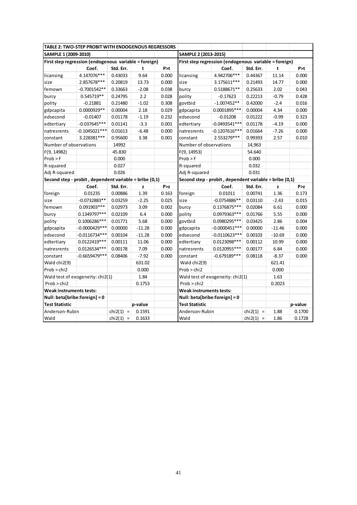| <b>TABLE 2: TWO-STEP PROBIT WITH ENDOGENOUS REGRESSORS</b> |                 |                     |          |       |                                                       |                                                        |             |          |         |  |
|------------------------------------------------------------|-----------------|---------------------|----------|-------|-------------------------------------------------------|--------------------------------------------------------|-------------|----------|---------|--|
| SAMPLE 1 (2009-2010)                                       |                 |                     |          |       | SAMPLE 2 (2013-2015)                                  |                                                        |             |          |         |  |
| First step regression (endogenous variable = foreign)      |                 |                     |          |       | First step regression (endogenous variable = foreign) |                                                        |             |          |         |  |
|                                                            | Coef.           | Std. Err.           | t        | P > t |                                                       | Coef.                                                  | Std. Err.   | t        | P > t   |  |
| licansing                                                  | 4.147076***     | 0.43033             | 9.64     | 0.000 | licansing                                             | 4.942706***                                            | 0.44367     | 11.14    | 0.000   |  |
| size                                                       | 2.857678***     | 0.20819             | 13.73    | 0.000 | size                                                  | 3.175611***                                            | 0.21493     | 14.77    | 0.000   |  |
| femown                                                     | $-0.7001542**$  | 0.33663             | $-2.08$  | 0.038 | burcy                                                 | 0.5188671**                                            | 0.25633     | 2.02     | 0.043   |  |
| burcy                                                      | 0.545719**      | 0.24795             | 2.2      | 0.028 | polity                                                | $-0.17623$                                             | 0.22213     | $-0.79$  | 0.428   |  |
| polity                                                     | $-0.21881$      | 0.21480             | $-1.02$  | 0.308 | govtbid                                               | $-1.007452**$                                          | 0.42000     | $-2.4$   | 0.016   |  |
| gdpcapita                                                  | 0.0000929**     | 0.00004             | 2.18     | 0.029 | gdpcapita                                             | 0.0001895 ***                                          | 0.00004     | 4.34     | 0.000   |  |
| edsecond                                                   | $-0.01407$      | 0.01178             | $-1.19$  | 0.232 | edsecond                                              | $-0.01208$                                             | 0.01222     | $-0.99$  | 0.323   |  |
| edtertiary                                                 | $-0.037645***$  | 0.01141             | $-3.3$   | 0.001 | edtertiary                                            | $-0.0493541***$                                        | 0.01178     | $-4.19$  | 0.000   |  |
| natresrents                                                | $-0.1045021***$ | 0.01613             | $-6.48$  | 0.000 | natresrents                                           | $-0.1207616***$                                        | 0.01664     | $-7.26$  | 0.000   |  |
| constant                                                   | 3.228381***     | 0.95600             | 3.38     | 0.001 | constant                                              | 2.553279***                                            | 0.99393     | 2.57     | 0.010   |  |
| Number of observations                                     |                 | 14992               |          |       | Number of observations                                |                                                        | 14,963      |          |         |  |
| F(9, 14982)                                                |                 | 45.830              |          |       | F(9, 14953)                                           |                                                        | 54.640      |          |         |  |
| Prob > F                                                   |                 | 0.000               |          |       | Prob > F                                              |                                                        | 0.000       |          |         |  |
| R-squared                                                  |                 | 0.027               |          |       | R-squared                                             |                                                        | 0.032       |          |         |  |
| Adi R-squared                                              |                 | 0.026               |          |       | Adi R-squared                                         |                                                        | 0.031       |          |         |  |
| Second step - probit, dependent variable = bribe (0,1)     |                 |                     |          |       |                                                       | Second step - probit, dependent variable = bribe (0,1) |             |          |         |  |
|                                                            | Coef.           | Std. Err.           | z        | P > z |                                                       | Coef.                                                  | Std. Err.   | z        | P > z   |  |
| foreign                                                    | 0.01235         | 0.00886             | 1.39     | 0.163 | foreign                                               | 0.01011                                                | 0.00741     | 1.36     | 0.173   |  |
| size                                                       | $-0.0732883**$  | 0.03259             | $-2.25$  | 0.025 | size                                                  | $-0.0754886**$                                         | 0.03110     | $-2.43$  | 0.015   |  |
| femown                                                     | 0.091903 ***    | 0.02973             | 3.09     | 0.002 | burcy                                                 | 0.1376875***                                           | 0.02084     | 6.61     | 0.000   |  |
| burcy                                                      | 0.1349797***    | 0.02109             | 6.4      | 0.000 | polity                                                | 0.0979363***                                           | 0.01766     | 5.55     | 0.000   |  |
| polity                                                     | 0.1006286***    | 0.01771             | 5.68     | 0.000 | govtbid                                               | 0.0980295***                                           | 0.03425     | 2.86     | 0.004   |  |
| gdpcapita                                                  | -0.0000429***   | 0.00000             | $-11.28$ | 0.000 | gdpcapita                                             | $-0.0000451***$                                        | 0.00000     | $-11.46$ | 0.000   |  |
| edsecond                                                   | $-0.0116734***$ | 0.00104             | $-11.28$ | 0.000 | edsecond                                              | $-0.0110623***$                                        | 0.00103     | $-10.69$ | 0.000   |  |
| edtertiary                                                 | 0.0122419 ***   | 0.00111             | 11.06    | 0.000 | edtertiary                                            | 0.0123098 ***                                          | 0.00112     | 10.99    | 0.000   |  |
| natresrents                                                | 0.0126534***    | 0.00178             | 7.09     | 0.000 | natresrents                                           | 0.0120955***                                           | 0.00177     | 6.84     | 0.000   |  |
| constant                                                   | $-0.6659479***$ | 0.08406             | $-7.92$  | 0.000 | constant                                              | $-0.679189***$                                         | 0.08118     | $-8.37$  | 0.000   |  |
| Wald chi2(9)                                               |                 |                     | 631.02   |       | Wald chi2(9)                                          |                                                        |             | 621.41   |         |  |
| Prob > chi2                                                |                 |                     | 0.000    |       | Prob > chi2                                           |                                                        |             | 0.000    |         |  |
| Wald test of exogeneity: chi2(1)                           |                 |                     | 1.84     |       | Wald test of exogeneity: chi2(1)<br>1.63              |                                                        |             |          |         |  |
| Prob > chi2                                                |                 |                     | 0.1753   |       | Prob > chi2                                           |                                                        |             | 0.2023   |         |  |
| <b>Weak instruments tests:</b>                             |                 |                     |          |       | <b>Weak instruments tests:</b>                        |                                                        |             |          |         |  |
| Null: beta[bribe:foreign] = 0                              |                 |                     |          |       | Null: beta[bribe:foreign] = 0                         |                                                        |             |          |         |  |
| <b>Test Statistic</b>                                      |                 |                     | p-value  |       | <b>Test Statistic</b>                                 |                                                        |             |          | p-value |  |
| Anderson-Rubin                                             |                 | chi2(1)<br>$\equiv$ | 0.1591   |       | Anderson-Rubin                                        |                                                        | $chi2(1)$ = | 1.88     | 0.1700  |  |
| Wald                                                       |                 | chi2(1)<br>$\equiv$ | 0.1633   |       | Wald                                                  |                                                        | $chi2(1)$ = | 1.86     | 0.1728  |  |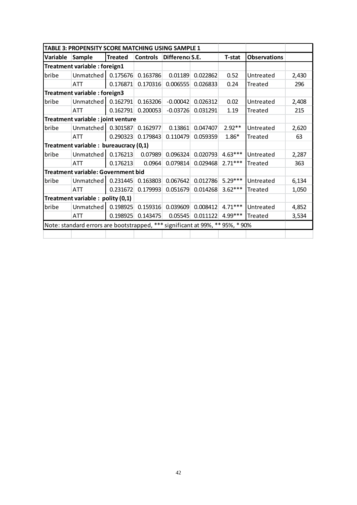|          | TABLE 3: PROPENSITY SCORE MATCHING USING SAMPLE 1                             |                |                 |                 |          |               |                     |       |
|----------|-------------------------------------------------------------------------------|----------------|-----------------|-----------------|----------|---------------|---------------------|-------|
| Variable | <b>Sample</b>                                                                 | <b>Treated</b> | <b>Controls</b> | Difference S.E. |          | <b>T-stat</b> | <b>Observations</b> |       |
|          | Treatment variable : foreign1                                                 |                |                 |                 |          |               |                     |       |
| bribe    | Unmatched                                                                     | 0.175676       | 0.163786        | 0.01189         | 0.022862 | 0.52          | Untreated           | 2,430 |
|          | ATT                                                                           | 0.176871       | 0.170316        | 0.006555        | 0.026833 | 0.24          | Treated             | 296   |
|          | Treatment variable : foreign3                                                 |                |                 |                 |          |               |                     |       |
| bribe    | Unmatched                                                                     | 0.162791       | 0.163206        | $-0.00042$      | 0.026312 | 0.02          | Untreated           | 2,408 |
|          | <b>ATT</b>                                                                    | 0.162791       | 0.200053        | $-0.03726$      | 0.031291 | 1.19          | Treated             | 215   |
|          | Treatment variable : joint venture                                            |                |                 |                 |          |               |                     |       |
| bribe    | Unmatched                                                                     | 0.301587       | 0.162977        | 0.13861         | 0.047407 | $2.92**$      | Untreated           | 2,620 |
|          | <b>ATT</b>                                                                    | 0.290323       | 0.179843        | 0.110479        | 0.059359 | $1.86*$       | Treated             | 63    |
|          | Treatment variable : bureaucracy (0,1)                                        |                |                 |                 |          |               |                     |       |
| bribe    | Unmatched                                                                     | 0.176213       | 0.07989         | 0.096324        | 0.020793 | $4.63***$     | Untreated           | 2,287 |
|          | <b>ATT</b>                                                                    | 0.176213       | 0.0964          | 0.079814        | 0.029468 | $2.71***$     | Treated             | 363   |
|          | Treatment variable: Government bid                                            |                |                 |                 |          |               |                     |       |
| bribe    | Unmatched                                                                     | 0.231445       | 0.163803        | 0.067642        | 0.012786 | $5.29***$     | Untreated           | 6,134 |
|          | <b>ATT</b>                                                                    | 0.231672       | 0.179993        | 0.051679        | 0.014268 | $3.62***$     | Treated             | 1,050 |
|          | Treatment variable: polity (0,1)                                              |                |                 |                 |          |               |                     |       |
| bribe    | Unmatched                                                                     | 0.198925       | 0.159316        | 0.039609        | 0.008412 | $4.71***$     | Untreated           | 4,852 |
|          | <b>ATT</b>                                                                    | 0.198925       | 0.143475        | 0.05545         | 0.011122 | 4.99***       | Treated             | 3,534 |
|          | Note: standard errors are bootstrapped, *** significant at 99%, ** 95%, * 90% |                |                 |                 |          |               |                     |       |
|          |                                                                               |                |                 |                 |          |               |                     |       |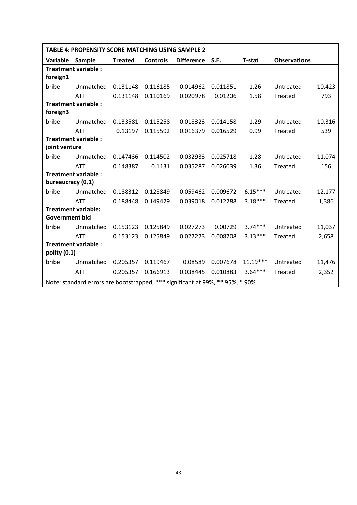|                       | TABLE 4: PROPENSITY SCORE MATCHING USING SAMPLE 2                             |                |                 |                   |          |               |                     |        |
|-----------------------|-------------------------------------------------------------------------------|----------------|-----------------|-------------------|----------|---------------|---------------------|--------|
| Variable              | Sample                                                                        | <b>Treated</b> | <b>Controls</b> | <b>Difference</b> | S.E.     | <b>T-stat</b> | <b>Observations</b> |        |
| foreign1              | <b>Treatment variable:</b>                                                    |                |                 |                   |          |               |                     |        |
| bribe                 | Unmatched                                                                     | 0.131148       | 0.116185        | 0.014962          | 0.011851 | 1.26          | Untreated           | 10,423 |
|                       | <b>ATT</b>                                                                    | 0.131148       | 0.110169        | 0.020978          | 0.01206  | 1.58          | Treated             | 793    |
| foreign3              | <b>Treatment variable:</b>                                                    |                |                 |                   |          |               |                     |        |
| bribe                 | Unmatched                                                                     | 0.133581       | 0.115258        | 0.018323          | 0.014158 | 1.29          | Untreated           | 10,316 |
|                       | <b>ATT</b>                                                                    | 0.13197        | 0.115592        | 0.016379          | 0.016529 | 0.99          | Treated             | 539    |
| joint venture         | <b>Treatment variable:</b>                                                    |                |                 |                   |          |               |                     |        |
| bribe                 | Unmatched                                                                     | 0.147436       | 0.114502        | 0.032933          | 0.025718 | 1.28          | Untreated           | 11,074 |
|                       | <b>ATT</b>                                                                    | 0.148387       | 0.1131          | 0.035287          | 0.026039 | 1.36          | Treated             | 156    |
| bureaucracy (0,1)     | <b>Treatment variable:</b>                                                    |                |                 |                   |          |               |                     |        |
| bribe                 | Unmatched                                                                     | 0.188312       | 0.128849        | 0.059462          | 0.009672 | $6.15***$     | Untreated           | 12,177 |
|                       | <b>ATT</b>                                                                    | 0.188448       | 0.149429        | 0.039018          | 0.012288 | $3.18***$     | <b>Treated</b>      | 1,386  |
| <b>Government bid</b> | <b>Treatment variable:</b>                                                    |                |                 |                   |          |               |                     |        |
| bribe                 | Unmatched                                                                     | 0.153123       | 0.125849        | 0.027273          | 0.00729  | $3.74***$     | Untreated           | 11,037 |
|                       | <b>ATT</b>                                                                    | 0.153123       | 0.125849        | 0.027273          | 0.008708 | $3.13***$     | Treated             | 2,658  |
| polity (0,1)          | <b>Treatment variable:</b>                                                    |                |                 |                   |          |               |                     |        |
| bribe                 | Unmatched                                                                     | 0.205357       | 0.119467        | 0.08589           | 0.007678 | $11.19***$    | Untreated           | 11,476 |
|                       | <b>ATT</b>                                                                    | 0.205357       | 0.166913        | 0.038445          | 0.010883 | $3.64***$     | <b>Treated</b>      | 2,352  |
|                       | Note: standard errors are bootstrapped, *** significant at 99%, ** 95%, * 90% |                |                 |                   |          |               |                     |        |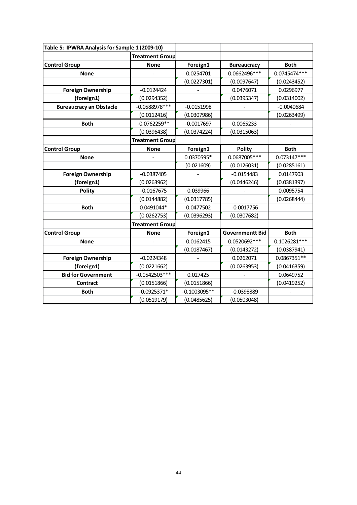| Table 5: IPWRA Analysis for Sample 1 (2009-10) |                        |                |                        |                |
|------------------------------------------------|------------------------|----------------|------------------------|----------------|
|                                                | <b>Treatment Group</b> |                |                        |                |
| <b>Control Group</b>                           | <b>None</b>            | Foreign1       | <b>Bureaucracy</b>     | <b>Both</b>    |
| <b>None</b>                                    |                        | 0.0254701      | 0.0662496***           | 0.0745474 ***  |
|                                                |                        | (0.0227301)    | (0.0097647)            | (0.0243452)    |
| <b>Foreign Ownership</b>                       | $-0.0124424$           |                | 0.0476071              | 0.0296977      |
| (foreign1)                                     | (0.0294352)            |                | (0.0395347)            | (0.0314002)    |
| <b>Bureaucracy an Obstacle</b>                 | $-0.0588978***$        | $-0.0151998$   |                        | $-0.0040684$   |
|                                                | (0.0112416)            | (0.0307986)    |                        | (0.0263499)    |
| <b>Both</b>                                    | $-0.0762259**$         | $-0.0017697$   | 0.0065233              |                |
|                                                | (0.0396438)            | (0.0374224)    | (0.0315063)            |                |
|                                                | <b>Treatment Group</b> |                |                        |                |
| <b>Control Group</b>                           | <b>None</b>            | Foreign1       | <b>Polity</b>          | <b>Both</b>    |
| <b>None</b>                                    |                        | 0.0370595*     | 0.0687005 ***          | $0.073147***$  |
|                                                |                        | (0.021609)     | (0.0126031)            | (0.0285161)    |
| <b>Foreign Ownership</b>                       | $-0.0387405$           |                | $-0.0154483$           | 0.0147903      |
| (foreign1)                                     | (0.0263962)            |                | (0.0446246)            | (0.0381397)    |
| <b>Polity</b>                                  | $-0.0167675$           | 0.039966       |                        | 0.0095754      |
|                                                | (0.0144882)            | (0.0317785)    |                        | (0.0268444)    |
| <b>Both</b>                                    | 0.0491044*             | 0.0477502      | $-0.0017756$           |                |
|                                                | (0.0262753)            | (0.0396293)    | (0.0307682)            |                |
|                                                | <b>Treatment Group</b> |                |                        |                |
| <b>Control Group</b>                           | <b>None</b>            | Foreign1       | <b>Governmentt Bid</b> | <b>Both</b>    |
| <b>None</b>                                    |                        | 0.0162415      | 0.0520692 ***          | $0.1026281***$ |
|                                                |                        | (0.0187467)    | (0.0143272)            | (0.0387941)    |
| <b>Foreign Ownership</b>                       | $-0.0224348$           |                | 0.0262071              | 0.0867351**    |
| (foreign1)                                     | (0.0221662)            |                | (0.0263953)            | (0.0416359)    |
| <b>Bid for Government</b>                      | $-0.0542503***$        | 0.027425       |                        | 0.0649752      |
| Contract                                       | (0.0151866)            | (0.0151866)    |                        | (0.0419252)    |
| <b>Both</b>                                    | $-0.0925371*$          | $-0.1003095**$ | $-0.0398889$           |                |
|                                                | (0.0519179)            | (0.0485625)    | (0.0503048)            |                |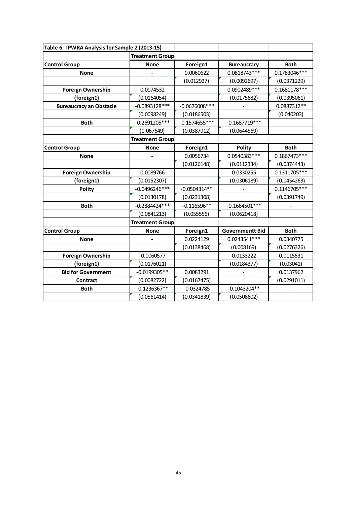| Table 6: IPWRA Analysis for Sample 2 (2013-15) |                        |                 |                        |                |  |  |
|------------------------------------------------|------------------------|-----------------|------------------------|----------------|--|--|
|                                                | <b>Treatment Group</b> |                 |                        |                |  |  |
| <b>Control Group</b>                           | <b>None</b>            | Foreign1        | <b>Bureaucracy</b>     | <b>Both</b>    |  |  |
| <b>None</b>                                    |                        | 0.0060622       | 0.0818743***           | 0.1783046***   |  |  |
|                                                |                        | (0.012927)      | (0.0092697)            | (0.0371229)    |  |  |
| <b>Foreign Ownership</b>                       | 0.0074532              |                 | 0.0902489***           | $0.1681178***$ |  |  |
| (foreign1)                                     | (0.0164054)            |                 | (0.0175682)            | (0.0395061)    |  |  |
| <b>Bureaucracy an Obstacle</b>                 | $-0.0893128***$        | $-0.0676008***$ |                        | 0.0887312**    |  |  |
|                                                | (0.0098249)            | (0.0186503)     |                        | (0.040203)     |  |  |
| <b>Both</b>                                    | $-0.2691205***$        | $-0.1574655***$ | $-0.1687719***$        |                |  |  |
|                                                | (0.067649)             | (0.0387912)     | (0.0644569)            |                |  |  |
|                                                | <b>Treatment Group</b> |                 |                        |                |  |  |
| <b>Control Group</b>                           | <b>None</b>            | Foreign1        | <b>Polity</b>          | <b>Both</b>    |  |  |
| <b>None</b>                                    |                        | 0.0056734       | 0.0540383***           | 0.1867473***   |  |  |
|                                                |                        | (0.0126148)     | (0.0112334)            | (0.0374443)    |  |  |
| <b>Foreign Ownership</b>                       | 0.0089766              |                 | 0.0330255              | $0.1311705***$ |  |  |
| (foreign1)                                     | (0.0152307)            |                 | (0.0306189)            | (0.0454263)    |  |  |
| <b>Polity</b>                                  | $-0.0496246***$        | $-0.0504314**$  |                        | 0.1146705***   |  |  |
|                                                | (0.0130178)            | (0.0231308)     |                        | (0.0391749)    |  |  |
| <b>Both</b>                                    | $-0.2884424***$        | $-0.116596**$   | $-0.1664501***$        |                |  |  |
|                                                | (0.0841213)            | (0.055556)      | (0.0620418)            |                |  |  |
|                                                | <b>Treatment Group</b> |                 |                        |                |  |  |
| <b>Control Group</b>                           | <b>None</b>            | Foreign1        | <b>Governmentt Bid</b> | <b>Both</b>    |  |  |
| <b>None</b>                                    |                        | 0.0224129       | 0.0243541 ***          | 0.0340775      |  |  |
|                                                |                        | (0.0138468)     | (0.008169)             | (0.0276326)    |  |  |
| <b>Foreign Ownership</b>                       | $-0.0060577$           |                 | 0.0133222              | 0.0115531      |  |  |
| (foreign1)                                     | (0.0176021)            |                 | (0.0184377)            | (0.03041)      |  |  |
| <b>Bid for Government</b>                      | $-0.0199305**$         | 0.0083291       |                        | 0.0137962      |  |  |
| Contract                                       | (0.0082722)            | (0.0167475)     |                        | (0.0291011)    |  |  |
| <b>Both</b>                                    | $-0.1236367**$         | $-0.0324785$    | $-0.1043204**$         |                |  |  |
|                                                | (0.0561414)            | (0.0341839)     | (0.0508602)            |                |  |  |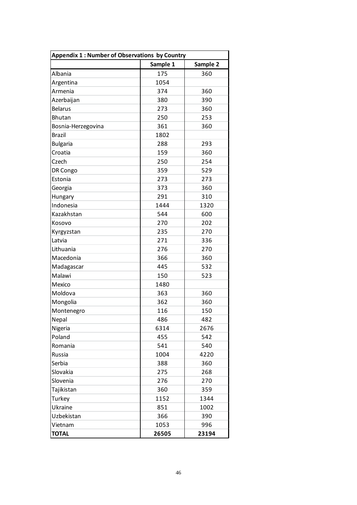| <b>Appendix 1: Number of Observations by Country</b> |          |          |  |  |  |
|------------------------------------------------------|----------|----------|--|--|--|
|                                                      | Sample 1 | Sample 2 |  |  |  |
| Albania                                              | 175      | 360      |  |  |  |
| Argentina                                            | 1054     |          |  |  |  |
| Armenia                                              | 374      | 360      |  |  |  |
| Azerbaijan                                           | 380      | 390      |  |  |  |
| <b>Belarus</b>                                       | 273      | 360      |  |  |  |
| <b>Bhutan</b>                                        | 250      | 253      |  |  |  |
| Bosnia-Herzegovina                                   | 361      | 360      |  |  |  |
| <b>Brazil</b>                                        | 1802     |          |  |  |  |
| <b>Bulgaria</b>                                      | 288      | 293      |  |  |  |
| Croatia                                              | 159      | 360      |  |  |  |
| Czech                                                | 250      | 254      |  |  |  |
| DR Congo                                             | 359      | 529      |  |  |  |
| Estonia                                              | 273      | 273      |  |  |  |
| Georgia                                              | 373      | 360      |  |  |  |
| Hungary                                              | 291      | 310      |  |  |  |
| Indonesia                                            | 1444     | 1320     |  |  |  |
| Kazakhstan                                           | 544      | 600      |  |  |  |
| Kosovo                                               | 270      | 202      |  |  |  |
| Kyrgyzstan                                           | 235      | 270      |  |  |  |
| Latvia                                               | 271      | 336      |  |  |  |
| Lithuania                                            | 276      | 270      |  |  |  |
| Macedonia                                            | 366      | 360      |  |  |  |
| Madagascar                                           | 445      | 532      |  |  |  |
| Malawi                                               | 150      | 523      |  |  |  |
| Mexico                                               | 1480     |          |  |  |  |
| Moldova                                              | 363      | 360      |  |  |  |
| Mongolia                                             | 362      | 360      |  |  |  |
| Montenegro                                           | 116      | 150      |  |  |  |
| Nepal                                                | 486      | 482      |  |  |  |
| Nigeria                                              | 6314     | 2676     |  |  |  |
| Poland                                               | 455      | 542      |  |  |  |
| Romania                                              | 541      | 540      |  |  |  |
| Russia                                               | 1004     | 4220     |  |  |  |
| Serbia                                               | 388      | 360      |  |  |  |
| Slovakia                                             | 275      | 268      |  |  |  |
| Slovenia                                             | 276      | 270      |  |  |  |
| Tajikistan                                           | 360      | 359      |  |  |  |
| Turkey                                               | 1152     | 1344     |  |  |  |
| Ukraine                                              | 851      | 1002     |  |  |  |
| Uzbekistan                                           | 366      | 390      |  |  |  |
| Vietnam                                              | 1053     | 996      |  |  |  |
| <b>TOTAL</b>                                         | 26505    | 23194    |  |  |  |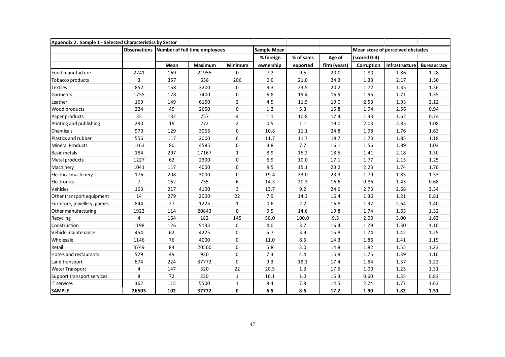| Appendix 2: Sample 1 - Selected Characteristics by Sector |                     |      |                               |                |                    |            |              |              |                                   |                    |
|-----------------------------------------------------------|---------------------|------|-------------------------------|----------------|--------------------|------------|--------------|--------------|-----------------------------------|--------------------|
|                                                           | <b>Observations</b> |      | Number of full time employees |                | <b>Sample Mean</b> |            |              |              | Mean score of perceived obstacles |                    |
|                                                           |                     |      |                               |                | % foreign          | % of sales | Age of       | (scored 0-4) |                                   |                    |
|                                                           |                     | Mean | Maximum                       | Minimum        | ownership          | exported   | firm (years) | Corruption   | Infrastructure                    | <b>Bureaucracy</b> |
| Food manufacture                                          | 2741                | 169  | 21955                         | $\mathbf 0$    | 7.2                | 9.5        | 20.0         | 1.80         | 1.86                              | 1.28               |
| Tobacco products                                          | 3                   | 357  | 658                           | 206            | 0.0                | 21.0       | 24.3         | 1.33         | 2.17                              | 1.50               |
| <b>Textiles</b>                                           | 852                 | 158  | 3200                          | $\mathbf 0$    | 9.3                | 23.5       | 20.2         | 1.72         | 1.35                              | 1.36               |
| Garments                                                  | 1755                | 128  | 7400                          | $\Omega$       | 6.8                | 19.4       | 16.9         | 1.95         | 1.71                              | 1.35               |
| Leather                                                   | 169                 | 149  | 6150                          | $\overline{2}$ | 4.5                | 11.9       | 19.0         | 2.53         | 1.93                              | 2.12               |
| Wood products                                             | 224                 | 49   | 2650                          | $\mathbf 0$    | 1.2                | 5.3        | 15.8         | 1.94         | 2.56                              | 0.94               |
| Paper products                                            | 35                  | 132  | 757                           | $\overline{4}$ | 1.1                | 10.8       | 17.4         | 1.33         | 1.62                              | 0.74               |
| Printing and publishing                                   | 290                 | 19   | 272                           | $\overline{2}$ | 0.5                | 1.1        | 19.0         | 2.03         | 2.85                              | 1.08               |
| Chemicals                                                 | 970                 | 129  | 3066                          | $\mathbf 0$    | 10.8               | 11.1       | 24.8         | 1.98         | 1.76                              | 1.63               |
| Plastics and rubber                                       | 556                 | 117  | 2000                          | $\Omega$       | 11.7               | 11.7       | 19.7         | 1.73         | 1.85                              | 1.18               |
| <b>Mineral Products</b>                                   | 1163                | 80   | 4585                          | $\mathbf 0$    | 3.8                | 7.7        | 16.1         | 1.56         | 1.89                              | 1.03               |
| <b>Basic metals</b>                                       | 184                 | 297  | 17167                         | $\mathbf{1}$   | 8.9                | 15.2       | 18.5         | 1.41         | 2.18                              | 1.30               |
| Metal products                                            | 1227                | 62   | 2300                          | $\Omega$       | 6.9                | 10.0       | 17.1         | 1.77         | 2.13                              | 1.25               |
| Machinery                                                 | 1041                | 117  | 4000                          | $\mathbf 0$    | 9.5                | 15.1       | 23.2         | 2.23         | 1.74                              | 1.70               |
| Electrical machinery                                      | 176                 | 208  | 3000                          | $\mathbf 0$    | 19.4               | 23.0       | 23.3         | 1.79         | 1.85                              | 1.33               |
| Electronics                                               | $\overline{7}$      | 162  | 755                           | 6              | 14.3               | 20.3       | 16.6         | 0.86         | 1.43                              | 0.68               |
| Vehicles                                                  | 163                 | 217  | 4100                          | 3              | 13.7               | 9.2        | 24.6         | 2.73         | 2.68                              | 3.34               |
| Other transport equipment                                 | 14                  | 279  | 2000                          | 22             | 7.9                | 14.3       | 16.4         | 1.36         | 1.21                              | 0.81               |
| Furniture, jewellery, games                               | 844                 | 27   | 1225                          | $\mathbf{1}$   | 0.6                | 2.2        | 16.8         | 1.92         | 2.64                              | 1.40               |
| Other manufacturing                                       | 1922                | 114  | 20843                         | $\Omega$       | 9.5                | 14.6       | 19.8         | 1.74         | 1.63                              | 1.32               |
| Recycling                                                 | $\overline{4}$      | 164  | 182                           | 145            | 50.0               | 100.0      | 9.5          | 2.00         | 3.00                              | 1.63               |
| Construction                                              | 1198                | 126  | 5133                          | $\mathbf 0$    | 4.0                | 3.7        | 16.4         | 1.79         | 1.30                              | 1.10               |
| Vehicle maintenance                                       | 454                 | 62   | 4225                          | $\mathbf 0$    | 5.7                | 3.9        | 15.8         | 1.74         | 1.42                              | 1.25               |
| Wholesale                                                 | 1146                | 76   | 4000                          | $\mathbf{0}$   | 11.0               | 8.5        | 14.3         | 1.86         | 1.41                              | 1.19               |
| Retail                                                    | 3749                | 84   | 20500                         | $\mathbf 0$    | 5.8                | 3.0        | 14.8         | 1.82         | 1.55                              | 1.23               |
| Hotels and restaurants                                    | 529                 | 49   | 930                           | $\Omega$       | 7.3                | 4.4        | 15.8         | 1.75         | 1.39                              | 1.10               |
| Land transport                                            | 674                 | 224  | 37772                         | $\Omega$       | 9.3                | 18.1       | 17.4         | 1.84         | 1.37                              | 1.22               |
| <b>Water Transport</b>                                    | 4                   | 147  | 320                           | 22             | 20.5               | 1.3        | 17.5         | 1.00         | 1.25                              | 1.31               |
| Support transport services                                | 8                   | 72   | 230                           | $\mathbf{1}$   | 16.1               | 1.0        | 15.3         | 0.60         | 1.35                              | 0.83               |
| <b>IT services</b>                                        | 362                 | 115  | 5500                          | $\mathbf{1}$   | 9.4                | 7.8        | 14.5         | 2.24         | 1.77                              | 1.63               |
| <b>SAMPLE</b>                                             | 26505               | 102  | 37772                         | 0              | 6.5                | 8.6        | 17.2         | 1.90         | 1.82                              | 1.31               |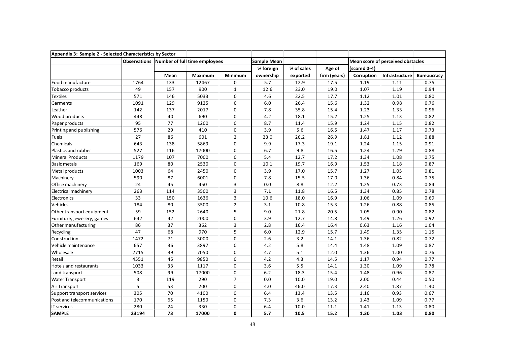| Appendix 3: Sample 2 - Selected Characteristics by Sector |       |      |                                            |                |                    |            |              |              |                                   |                    |
|-----------------------------------------------------------|-------|------|--------------------------------------------|----------------|--------------------|------------|--------------|--------------|-----------------------------------|--------------------|
|                                                           |       |      | Observations Number of full time employees |                | <b>Sample Mean</b> |            |              |              | Mean score of perceived obstacles |                    |
|                                                           |       |      |                                            |                | % foreign          | % of sales | Age of       | (scored 0-4) |                                   |                    |
|                                                           |       | Mean | Maximum                                    | Minimum        | ownership          | exported   | firm (years) | Corruption   | Infrastructure                    | <b>Bureaucracy</b> |
| Food manufacture                                          | 1764  | 133  | 12467                                      | 0              | 5.7                | 12.9       | 17.5         | 1.19         | 1.11                              | 0.75               |
| Tobacco products                                          | 49    | 157  | 900                                        | $\mathbf{1}$   | 12.6               | 23.0       | 19.0         | 1.07         | 1.19                              | 0.94               |
| <b>Textiles</b>                                           | 571   | 146  | 5033                                       | 0              | 4.6                | 22.5       | 17.7         | 1.12         | 1.01                              | 0.80               |
| Garments                                                  | 1091  | 129  | 9125                                       | $\mathbf 0$    | $6.0\,$            | 26.4       | 15.6         | 1.32         | 0.98                              | 0.76               |
| Leather                                                   | 142   | 137  | 2017                                       | $\mathbf 0$    | 7.8                | 35.8       | 15.4         | 1.23         | 1.33                              | 0.96               |
| Wood products                                             | 448   | 40   | 690                                        | $\mathbf 0$    | 4.2                | 18.1       | 15.2         | 1.25         | 1.13                              | 0.82               |
| Paper products                                            | 95    | 77   | 1200                                       | 0              | 8.7                | 11.4       | 15.9         | 1.24         | 1.15                              | 0.82               |
| Printing and publishing                                   | 576   | 29   | 410                                        | 0              | 3.9                | 5.6        | 16.5         | 1.47         | 1.17                              | 0.73               |
| Fuels                                                     | 27    | 86   | 601                                        | $\overline{2}$ | 23.0               | 26.2       | 26.9         | 1.81         | 1.12                              | 0.88               |
| Chemicals                                                 | 643   | 138  | 5869                                       | $\mathbf 0$    | 9.9                | 17.3       | 19.1         | 1.24         | 1.15                              | 0.91               |
| Plastics and rubber                                       | 527   | 116  | 17000                                      | 0              | 6.7                | 9.8        | 16.5         | 1.24         | 1.29                              | 0.88               |
| <b>Mineral Products</b>                                   | 1179  | 107  | 7000                                       | 0              | 5.4                | 12.7       | 17.2         | 1.34         | 1.08                              | 0.75               |
| <b>Basic metals</b>                                       | 169   | 80   | 2530                                       | $\mathbf{0}$   | 10.1               | 19.7       | 16.9         | 1.53         | 1.18                              | 0.87               |
| Metal products                                            | 1003  | 64   | 2450                                       | 0              | 3.9                | 17.0       | 15.7         | 1.27         | 1.05                              | 0.81               |
| Machinery                                                 | 590   | 87   | 6001                                       | $\mathbf 0$    | 7.8                | 15.5       | 17.0         | 1.36         | 0.84                              | 0.75               |
| Office machinery                                          | 24    | 45   | 450                                        | 3              | 0.0                | 8.8        | 12.2         | 1.25         | 0.73                              | 0.84               |
| <b>Electrical machinery</b>                               | 263   | 114  | 3500                                       | 3              | 7.1                | 11.8       | 16.5         | 1.34         | 0.85                              | 0.78               |
| Electronics                                               | 33    | 150  | 1636                                       | 3              | 10.6               | 18.0       | 16.9         | 1.06         | 1.09                              | 0.69               |
| Vehicles                                                  | 184   | 80   | 3500                                       | $\overline{2}$ | 3.1                | 10.8       | 15.3         | 1.26         | 0.88                              | 0.85               |
| Other transport equipment                                 | 59    | 152  | 2640                                       | 5              | 9.0                | 21.8       | 20.5         | 1.05         | 0.90                              | 0.82               |
| Furniture, jewellery, games                               | 642   | 42   | 2000                                       | $\mathbf 0$    | 3.9                | 12.7       | 14.8         | 1.49         | 1.26                              | 0.92               |
| Other manufacturing                                       | 86    | 37   | 362                                        | 3              | 2.8                | 16.4       | 16.4         | 0.63         | 1.16                              | 1.04               |
| Recycling                                                 | 47    | 68   | 970                                        | 5              | 6.0                | 12.9       | 15.7         | 1.49         | 1.35                              | 1.15               |
| Construction                                              | 1472  | $71$ | 3000                                       | 0              | 2.6                | 3.2        | 14.1         | 1.36         | 0.82                              | 0.72               |
| Vehicle maintenance                                       | 657   | 36   | 3897                                       | 0              | 4.2                | 5.8        | 14.4         | 1.48         | 1.09                              | 0.87               |
| Wholesale                                                 | 2715  | 39   | 7050                                       | 0              | 4.7                | 5.1        | 12.0         | 1.36         | 1.00                              | 0.76               |
| Retail                                                    | 4551  | 45   | 9850                                       | 0              | 4.2                | 4.3        | 14.5         | 1.17         | 0.94                              | 0.77               |
| Hotels and restaurants                                    | 1033  | 33   | 1117                                       | 0              | 3.6                | 5.5        | 14.1         | 1.30         | 1.09                              | 0.78               |
| Land transport                                            | 508   | 99   | 17000                                      | 0              | 6.2                | 18.3       | 15.4         | 1.48         | 0.96                              | 0.87               |
| <b>Water Transport</b>                                    | 3     | 119  | 290                                        | $\overline{7}$ | 0.0                | 10.0       | 19.0         | 2.00         | 0.44                              | 0.50               |
| Air Transport                                             | 5     | 53   | 200                                        | 0              | 4.0                | 46.0       | 17.3         | 2.40         | 1.87                              | 1.40               |
| Support transport services                                | 305   | 70   | 4100                                       | 0              | 6.4                | 13.4       | 13.5         | 1.16         | 0.93                              | 0.67               |
| Post and telecommunications                               | 170   | 65   | 1150                                       | 0              | 7.3                | 3.6        | 13.2         | 1.43         | 1.09                              | 0.77               |
| IT services                                               | 280   | 24   | 330                                        | 0              | 6.4                | 10.0       | 11.1         | 1.41         | 1.13                              | 0.80               |
| <b>SAMPLE</b>                                             | 23194 | 73   | 17000                                      | 0              | 5.7                | 10.5       | 15.2         | 1.30         | 1.03                              | 0.80               |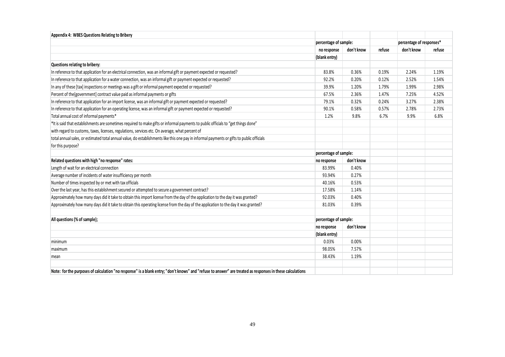| Appendix 4: WBES Questions Relating to Bribery                                                                                                            |                       |            |        |                          |        |
|-----------------------------------------------------------------------------------------------------------------------------------------------------------|-----------------------|------------|--------|--------------------------|--------|
|                                                                                                                                                           | percentage of sample: |            |        | percentage of responses* |        |
|                                                                                                                                                           | no response           | don't know | refuse | don't know               | refuse |
|                                                                                                                                                           | (blank entry)         |            |        |                          |        |
| Questions relating to bribery:                                                                                                                            |                       |            |        |                          |        |
| In reference to that application for an electrical connection, was an informal gift or payment expected or requested?                                     | 83.8%                 | 0.36%      | 0.19%  | 2.24%                    | 1.19%  |
| In reference to that application for a water connection, was an informal gift or payment expected or requested?                                           | 92.2%                 | 0.20%      | 0.12%  | 2.52%                    | 1.54%  |
| In any of these [tax] inspections or meetings was a gift or informal payment expected or requested?                                                       | 39.9%                 | 1.20%      | 1.79%  | 1.99%                    | 2.98%  |
| Percent of the [government] contract value paid as informal payments or gifts                                                                             | 67.5%                 | 2.36%      | 1.47%  | 7.25%                    | 4.52%  |
| In reference to that application for an import license, was an informal gift or payment expected or requested?                                            | 79.1%                 | 0.32%      | 0.24%  | 3.27%                    | 2.38%  |
| In reference to that application for an operating license, was an informal gift or payment expected or requested?                                         | 90.1%                 | 0.58%      | 0.57%  | 2.78%                    | 2.73%  |
| Total annual cost of informal payments*                                                                                                                   | 1.2%                  | 9.8%       | 6.7%   | 9.9%                     | 6.8%   |
| *It is said that establishments are sometimes required to make gifts or informal payments to public officials to "get things done"                        |                       |            |        |                          |        |
| with regard to customs, taxes, licenses, regulations, services etc. On average, what percent of                                                           |                       |            |        |                          |        |
| total annual sales, or estimated total annual value, do establishments like this one pay in informal payments or gifts to public officials                |                       |            |        |                          |        |
| for this purpose?                                                                                                                                         |                       |            |        |                          |        |
|                                                                                                                                                           | percentage of sample: |            |        |                          |        |
| Related questions with high "no response" rates:                                                                                                          | no response           | don't know |        |                          |        |
| Length of wait for an electrical connection                                                                                                               | 83.99%                | 0.40%      |        |                          |        |
| Average number of incidents of water insufficiency per month                                                                                              | 93.94%                | 0.27%      |        |                          |        |
| Number of times inspected by or met with tax officials                                                                                                    | 40.16%                | 0.53%      |        |                          |        |
| Over the last year, has this establishment secured or attempted to secure a government contract?                                                          | 17.58%                | 1.14%      |        |                          |        |
| Approximately how many days did it take to obtain this import license from the day of the application to the day it was granted?                          | 92.03%                | 0.40%      |        |                          |        |
| Approximately how many days did it take to obtain this operating license from the day of the application to the day it was granted?                       | 81.03%                | 0.39%      |        |                          |        |
|                                                                                                                                                           |                       |            |        |                          |        |
| All questions (% of sample);                                                                                                                              | percentage of sample: |            |        |                          |        |
|                                                                                                                                                           | no response           | don't know |        |                          |        |
|                                                                                                                                                           | (blank entry)         |            |        |                          |        |
| minimum                                                                                                                                                   | 0.03%                 | 0.00%      |        |                          |        |
| maximum                                                                                                                                                   | 98.05%                | 7.57%      |        |                          |        |
| mean                                                                                                                                                      | 38.43%                | 1.19%      |        |                          |        |
|                                                                                                                                                           |                       |            |        |                          |        |
| Note: for the purposes of calculation "no response" is a blank entry; "don't knows" and "refuse to answer" are treated as responses in these calculations |                       |            |        |                          |        |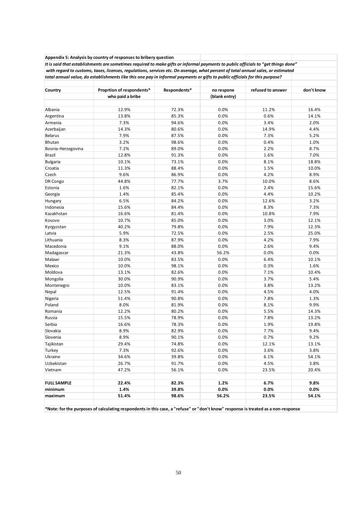|                      | Appendix 5: Analysis by country of responses to bribery question                                                                  |              |               |                   |            |
|----------------------|-----------------------------------------------------------------------------------------------------------------------------------|--------------|---------------|-------------------|------------|
|                      | It is said that establishments are sometimes required to make gifts or informal payments to public officials to "get things done" |              |               |                   |            |
|                      | with regard to customs, taxes, licenses, regulations, services etc. On average, what percent of total annual sales, or estimated  |              |               |                   |            |
|                      | total annual value, do establishments like this one pay in informal payments or gifts to public officials for this purpose?       |              |               |                   |            |
|                      |                                                                                                                                   |              |               |                   |            |
| Country              | Proprtion of respondents*                                                                                                         | Respondents* | no respone    | refused to answer | don't know |
|                      | who paid a bribe                                                                                                                  |              | (blank entry) |                   |            |
|                      |                                                                                                                                   | 72.3%        | 0.0%          | 11.2%             | 16.4%      |
| Albania              | 12.9%<br>13.8%                                                                                                                    | 85.3%        | 0.0%          | 0.6%              | 14.1%      |
| Argentina<br>Armenia | 7.3%                                                                                                                              | 94.6%        | 0.0%          | 3.4%              | 2.0%       |
| Azerbaijan           | 14.3%                                                                                                                             | 80.6%        | 0.0%          | 14.9%             | 4.4%       |
| <b>Belarus</b>       | 7.9%                                                                                                                              | 87.5%        | 0.0%          | 7.3%              | 5.2%       |
| Bhutan               | 3.2%                                                                                                                              | 98.6%        | 0.0%          | 0.4%              | 1.0%       |
| Bosnia-Herzegovina   | 7.2%                                                                                                                              | 89.0%        | 0.0%          | 2.2%              | 8.7%       |
| <b>Brazil</b>        | 12.8%                                                                                                                             | 91.3%        | 0.0%          | 1.6%              | 7.0%       |
| <b>Bulgaria</b>      | 10.1%                                                                                                                             | 73.1%        | 0.0%          | 8.1%              | 18.8%      |
| Croatia              | 11.3%                                                                                                                             | 88.4%        | 0.0%          | 1.5%              | 10.0%      |
| Czech                | 9.6%                                                                                                                              | 86.9%        | 0.0%          | 4.2%              | 8.9%       |
| DR Congo             | 44.8%                                                                                                                             | 77.7%        | 3.7%          | 10.0%             | 8.6%       |
| Estonia              | 1.6%                                                                                                                              | 82.1%        | 0.0%          | 2.4%              | 15.6%      |
| Georgia              | 1.4%                                                                                                                              | 85.4%        | 0.0%          | 4.4%              | 10.2%      |
| Hungary              | 6.5%                                                                                                                              | 84.2%        | 0.0%          | 12.6%             | 3.2%       |
| Indonesia            | 15.6%                                                                                                                             | 84.4%        | 0.0%          | 8.3%              | 7.3%       |
| Kazakhstan           | 16.6%                                                                                                                             | 81.4%        | 0.0%          | 10.8%             | 7.9%       |
| Kosovo               | 10.7%                                                                                                                             | 85.0%        | 0.0%          | 3.0%              | 12.1%      |
| Kyrgyzstan           | 40.2%                                                                                                                             | 79.8%        | 0.0%          | 7.9%              | 12.3%      |
| Latvia               | 5.9%                                                                                                                              | 72.5%        | 0.0%          | 2.5%              | 25.0%      |
| Lithuania            | 8.3%                                                                                                                              | 87.9%        | 0.0%          | 4.2%              | 7.9%       |
| Macedonia            | 9.1%                                                                                                                              | 88.0%        | 0.0%          | 2.6%              | 9.4%       |
| Madagascar           | 21.3%                                                                                                                             | 43.8%        | 56.2%         | 0.0%              | 0.0%       |
| Malawi               | 10.0%                                                                                                                             | 83.5%        | 0.0%          | 6.4%              | 10.1%      |
| Mexico               | 10.0%                                                                                                                             | 98.1%        | 0.0%          | 0.3%              | 1.6%       |
| Moldova              | 13.1%                                                                                                                             | 82.6%        | 0.0%          | 7.1%              | 10.4%      |
| Mongolia             | 30.0%                                                                                                                             | 90.9%        | 0.0%          | 3.7%              | 5.4%       |
| Montenegro           | 10.0%                                                                                                                             | 83.1%        | 0.0%          | 3.8%              | 13.2%      |
| Nepal                | 12.5%                                                                                                                             | 91.4%        | 0.0%          | 4.5%              | 4.0%       |
| Nigeria              | 51.4%                                                                                                                             | 90.8%        | 0.0%          | 7.8%              | 1.3%       |
| Poland               | 8.0%                                                                                                                              | 81.9%        | 0.0%          | 8.1%              | 9.9%       |
| Romania              | 12.2%                                                                                                                             | 80.2%        | 0.0%          | 5.5%              | 14.3%      |
| Russia               | 15.5%                                                                                                                             | 78.9%        | 0.0%          | 7.8%              | 13.2%      |
| Serbia               | 16.6%                                                                                                                             | 78.3%        | 0.0%          | 1.9%              | 19.8%      |
| Slovakia             | 8.9%                                                                                                                              | 82.9%        | 0.0%          | 7.7%              | 9.4%       |
| Slovenia             | 8.9%                                                                                                                              | 90.1%        | 0.0%          | 0.7%              | 9.2%       |
| Tajikistan           | 29.4%                                                                                                                             | 74.8%        | 0.0%          | 12.1%             | 13.1%      |
| Turkey               | 7.3%                                                                                                                              | 92.6%        | 0.0%          | 3.6%              | 3.8%       |
| Ukraine              | 34.6%                                                                                                                             | 39.8%        | 0.0%          | 6.1%              | 54.1%      |
| Uzbekistan           | 26.7%                                                                                                                             | 91.7%        | 0.0%          | 4.5%              | 3.8%       |
| Vietnam              | 47.2%                                                                                                                             | 56.1%        | 0.0%          | 23.5%             | 20.4%      |
|                      |                                                                                                                                   |              |               |                   |            |
| <b>FULL SAMPLE</b>   | 22.4%                                                                                                                             | 82.3%        | 1.2%          | 6.7%              | 9.8%       |
| minimum              | 1.4%                                                                                                                              | 39.8%        | $0.0\%$       | 0.0%              | $0.0\%$    |
| maximum              | 51.4%                                                                                                                             | 98.6%        | 56.2%         | 23.5%             | 54.1%      |
|                      |                                                                                                                                   |              |               |                   |            |

**\*Note: for the purposes of calculating respondents in this case, a "refuse" or "don't know" response is treated as a non-response**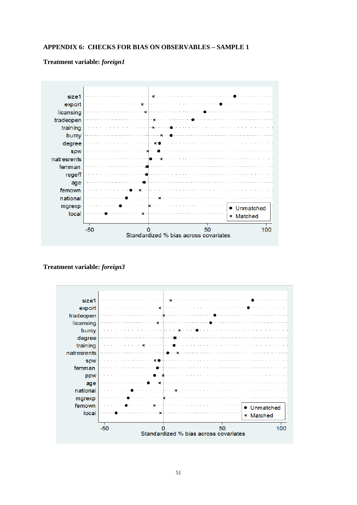# **APPENDIX 6: CHECKS FOR BIAS ON OBSERVABLES – SAMPLE 1**

# **Treatment variable:** *foreign1*



# **Treatment variable:** *foreign3*

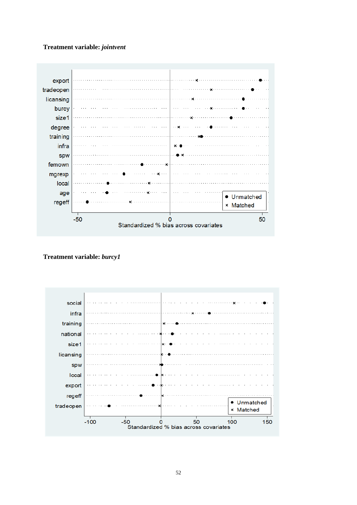# **Treatment variable:** *jointvent*



# **Treatment variable:** *burcy1*

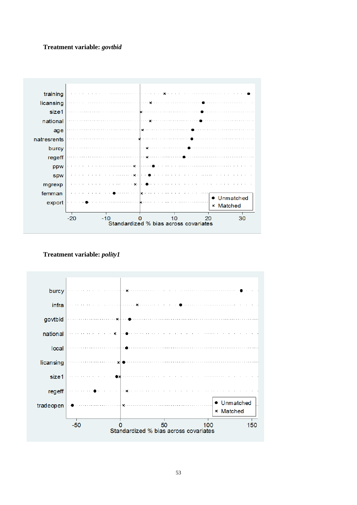# **Treatment variable:** *govtbid*



**Treatment variable:** *polity1*

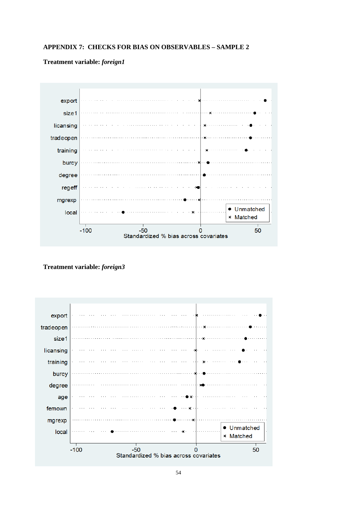# **APPENDIX 7: CHECKS FOR BIAS ON OBSERVABLES – SAMPLE 2**

# **Treatment variable:** *foreign1*



**Treatment variable:** *foreign3*

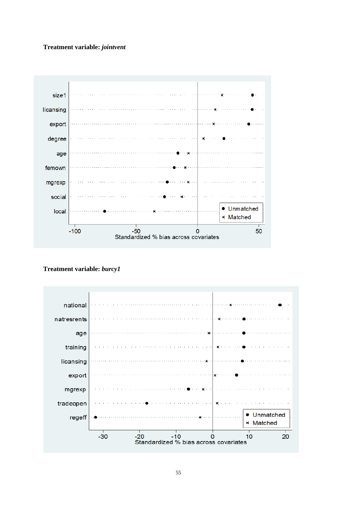# **Treatment variable:** *jointvent*



**Treatment variable:** *burcy1*